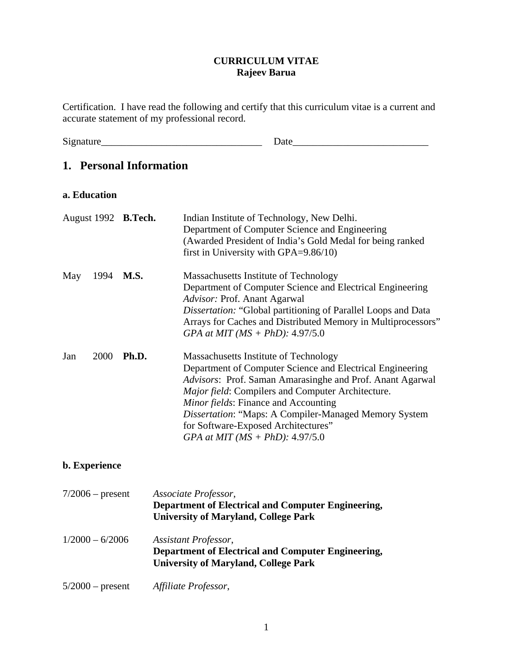# **CURRICULUM VITAE Rajeev Barua**

Certification. I have read the following and certify that this curriculum vitae is a current and accurate statement of my professional record.

Signature\_\_\_\_\_\_\_\_\_\_\_\_\_\_\_\_\_\_\_\_\_\_\_\_\_\_\_\_\_\_\_\_ Date\_\_\_\_\_\_\_\_\_\_\_\_\_\_\_\_\_\_\_\_\_\_\_\_\_\_\_

# **1. Personal Information**

#### **a. Education**

|     |      | August 1992 B.Tech. | Indian Institute of Technology, New Delhi.<br>Department of Computer Science and Engineering<br>(Awarded President of India's Gold Medal for being ranked<br>first in University with $GPA = 9.86/10$ )                                                                                                                                                                                                           |
|-----|------|---------------------|-------------------------------------------------------------------------------------------------------------------------------------------------------------------------------------------------------------------------------------------------------------------------------------------------------------------------------------------------------------------------------------------------------------------|
| May | 1994 | <b>M.S.</b>         | Massachusetts Institute of Technology<br>Department of Computer Science and Electrical Engineering<br>Advisor: Prof. Anant Agarwal<br>Dissertation: "Global partitioning of Parallel Loops and Data<br>Arrays for Caches and Distributed Memory in Multiprocessors"<br>GPA at MIT ( $MS + PhD$ ): 4.97/5.0                                                                                                        |
| Jan | 2000 | Ph.D.               | Massachusetts Institute of Technology<br>Department of Computer Science and Electrical Engineering<br>Advisors: Prof. Saman Amarasinghe and Prof. Anant Agarwal<br><i>Major field:</i> Compilers and Computer Architecture.<br><i>Minor fields:</i> Finance and Accounting<br>Dissertation: "Maps: A Compiler-Managed Memory System<br>for Software-Exposed Architectures"<br>GPA at MIT ( $MS + PhD$ ): 4.97/5.0 |

# **b. Experience**

| $7/2006$ – present | Associate Professor,<br>Department of Electrical and Computer Engineering,<br><b>University of Maryland, College Park</b> |
|--------------------|---------------------------------------------------------------------------------------------------------------------------|
| $1/2000 - 6/2006$  | Assistant Professor,<br>Department of Electrical and Computer Engineering,<br><b>University of Maryland, College Park</b> |
| $5/2000$ – present | Affiliate Professor,                                                                                                      |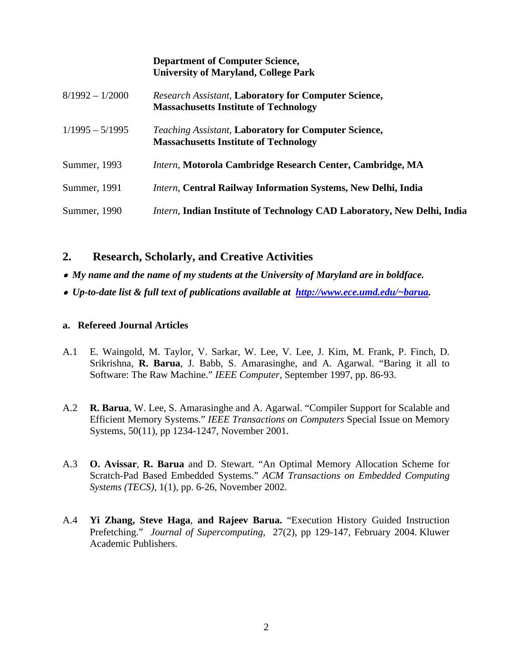|                   | <b>Department of Computer Science,</b><br><b>University of Maryland, College Park</b>                       |
|-------------------|-------------------------------------------------------------------------------------------------------------|
| $8/1992 - 1/2000$ | <b>Research Assistant, Laboratory for Computer Science,</b><br><b>Massachusetts Institute of Technology</b> |
| $1/1995 - 5/1995$ | <b>Teaching Assistant, Laboratory for Computer Science,</b><br><b>Massachusetts Institute of Technology</b> |
| Summer, 1993      | Intern, Motorola Cambridge Research Center, Cambridge, MA                                                   |
| Summer, 1991      | <i>Intern</i> , Central Railway Information Systems, New Delhi, India                                       |
| Summer, 1990      | <i>Intern</i> , Indian Institute of Technology CAD Laboratory, New Delhi, India                             |

# **2. Research, Scholarly, and Creative Activities**

- *My name and the name of my students at the University of Maryland are in boldface.*
- • *Up-to-date list & full text of publications available at [http://www.ece.umd.edu/~barua.](http://ece.umd.edu/~barua)*

# **a. Refereed Journal Articles**

- A.1 E. Waingold, M. Taylor, V. Sarkar, W. Lee, V. Lee, J. Kim, M. Frank, P. Finch, D. Srikrishna, **R. Barua**, J. Babb, S. Amarasinghe, and A. Agarwal. "Baring it all to Software: The Raw Machine." *IEEE Computer*, September 1997, pp. 86-93.
- A.2 **R. Barua**, W. Lee, S. Amarasinghe and A. Agarwal. "Compiler Support for Scalable and Efficient Memory Systems." *IEEE Transactions on Computers* Special Issue on Memory Systems, 50(11), pp 1234-1247, November 2001.
- A.3 **O. Avissar**, **R. Barua** and D. Stewart. "An Optimal Memory Allocation Scheme for Scratch-Pad Based Embedded Systems." *ACM Transactions on Embedded Computing Systems (TECS)*, 1(1), pp. 6-26, November 2002.
- A.4 **Yi Zhang, Steve Haga**, **and Rajeev Barua.** "Execution History Guided Instruction Prefetching." *Journal of Supercomputing*, 27(2), pp 129-147, February 2004. Kluwer Academic Publishers.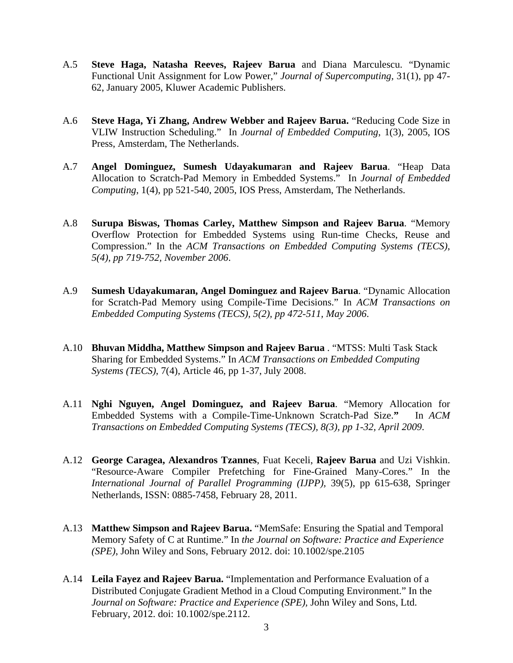- A.5 **Steve Haga, Natasha Reeves, Rajeev Barua** and Diana Marculescu. "Dynamic Functional Unit Assignment for Low Power," *Journal of Supercomputing,* 31(1), pp 47- 62, January 2005, Kluwer Academic Publishers.
- A.6 **Steve Haga, Yi Zhang, Andrew Webber and Rajeev Barua.** "Reducing Code Size in VLIW Instruction Scheduling." In *Journal of Embedded Computing*, 1(3), 2005, IOS Press, Amsterdam, The Netherlands.
- A.7 **Angel Dominguez, Sumesh Udayakumar**a**n and Rajeev Barua**. "Heap Data Allocation to Scratch-Pad Memory in Embedded Systems." In *Journal of Embedded Computing*, 1(4), pp 521-540, 2005, IOS Press, Amsterdam, The Netherlands.
- A.8 **Surupa Biswas, Thomas Carley, Matthew Simpson and Rajeev Barua**. "Memory Overflow Protection for Embedded Systems using Run-time Checks, Reuse and Compression." In the *ACM Transactions on Embedded Computing Systems (TECS)*, *5(4), pp 719-752, November 2006*.
- A.9 **Sumesh Udayakumaran, Angel Dominguez and Rajeev Barua**. "Dynamic Allocation for Scratch-Pad Memory using Compile-Time Decisions." In *ACM Transactions on Embedded Computing Systems (TECS), 5(2), pp 472-511, May 2006*.
- A.10 **Bhuvan Middha, Matthew Simpson and Rajeev Barua** . "MTSS: Multi Task Stack Sharing for Embedded Systems." In *ACM Transactions on Embedded Computing Systems (TECS)*, 7(4), Article 46, pp 1-37, July 2008.
- A.11 **Nghi Nguyen, Angel Dominguez, and Rajeev Barua**. "Memory Allocation for Embedded Systems with a Compile-Time-Unknown Scratch-Pad Size.**"** In *ACM Transactions on Embedded Computing Systems (TECS), 8(3), pp 1-32, April 2009*.
- A.12 **George Caragea, Alexandros Tzannes**, Fuat Keceli, **Rajeev Barua** and Uzi Vishkin. "Resource-Aware Compiler Prefetching for Fine-Grained Many-Cores." In the *International Journal of Parallel Programming (IJPP),* 39(5), pp 615-638, Springer Netherlands, ISSN: 0885-7458, February 28, 2011.
- A.13 **Matthew Simpson and Rajeev Barua.** "MemSafe: Ensuring the Spatial and Temporal Memory Safety of C at Runtime." In *the Journal on Software: Practice and Experience (SPE)*, John Wiley and Sons, February 2012. doi: 10.1002/spe.2105
- A.14 **Leila Fayez and Rajeev Barua.** "Implementation and Performance Evaluation of a Distributed Conjugate Gradient Method in a Cloud Computing Environment." In the *Journal on Software: Practice and Experience (SPE),* John Wiley and Sons, Ltd. February, 2012. doi: 10.1002/spe.2112.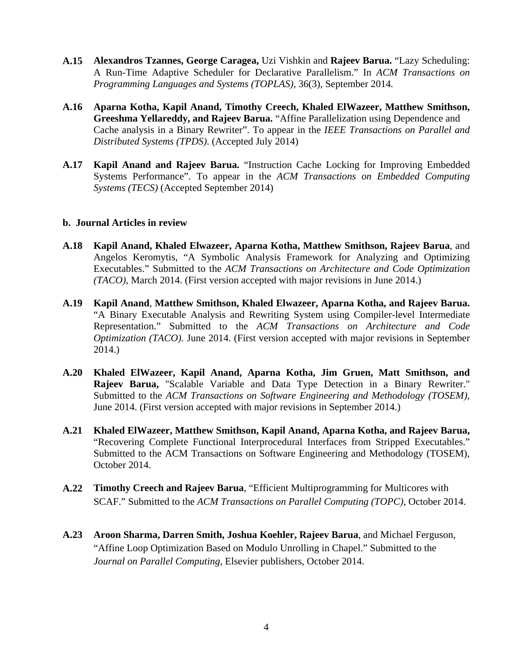- **A.15 Alexandros Tzannes, George Caragea,** Uzi Vishkin and **Rajeev Barua.** "Lazy Scheduling: A Run-Time Adaptive Scheduler for Declarative Parallelism." In *ACM Transactions on Programming Languages and Systems (TOPLAS),* 36(3), September 2014*.*
- **A.16 Aparna Kotha, Kapil Anand, Timothy Creech, Khaled ElWazeer, Matthew Smithson, Greeshma Yellareddy, and Rajeev Barua.** "Affine Parallelization using Dependence and Cache analysis in a Binary Rewriter". To appear in the *IEEE Transactions on Parallel and Distributed Systems (TPDS)*. (Accepted July 2014)
- **A.17 Kapil Anand and Rajeev Barua.** "Instruction Cache Locking for Improving Embedded Systems Performance". To appear in the *ACM Transactions on Embedded Computing Systems (TECS)* (Accepted September 2014)

#### **b. Journal Articles in review**

- **A.18 Kapil Anand, Khaled Elwazeer, Aparna Kotha, Matthew Smithson, Rajeev Barua**, and Angelos Keromytis, "A Symbolic Analysis Framework for Analyzing and Optimizing Executables." Submitted to the *ACM Transactions on Architecture and Code Optimization (TACO),* March 2014. (First version accepted with major revisions in June 2014.)
- **A.19 Kapil Anand**, **Matthew Smithson, Khaled Elwazeer, Aparna Kotha, and Rajeev Barua.**  "A Binary Executable Analysis and Rewriting System using Compiler-level Intermediate Representation." Submitted to the *ACM Transactions on Architecture and Code Optimization (TACO).* June 2014. (First version accepted with major revisions in September 2014.)
- **A.20 Khaled ElWazeer, Kapil Anand, Aparna Kotha, Jim Gruen, Matt Smithson, and Rajeev Barua,** "Scalable Variable and Data Type Detection in a Binary Rewriter." Submitted to the *ACM Transactions on Software Engineering and Methodology (TOSEM),* June 2014. (First version accepted with major revisions in September 2014.)
- **A.21 Khaled ElWazeer, Matthew Smithson, Kapil Anand, Aparna Kotha, and Rajeev Barua,**  "Recovering Complete Functional Interprocedural Interfaces from Stripped Executables." Submitted to the ACM Transactions on Software Engineering and Methodology (TOSEM), October 2014.
- **A.22 Timothy Creech and Rajeev Barua**, "Efficient Multiprogramming for Multicores with SCAF." Submitted to the *ACM Transactions on Parallel Computing (TOPC),* October 2014.
- **A.23 Aroon Sharma, Darren Smith, Joshua Koehler, Rajeev Barua**, and Michael Ferguson, "Affine Loop Optimization Based on Modulo Unrolling in Chapel." Submitted to the *Journal on Parallel Computing*, Elsevier publishers, October 2014.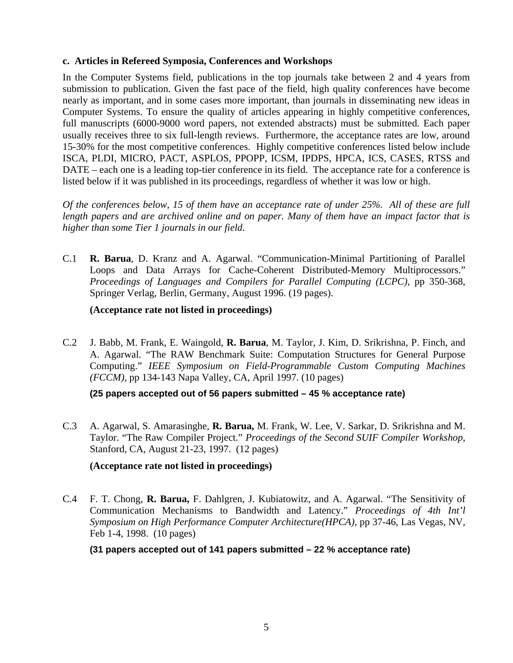#### **c. Articles in Refereed Symposia, Conferences and Workshops**

In the Computer Systems field, publications in the top journals take between 2 and 4 years from submission to publication. Given the fast pace of the field, high quality conferences have become nearly as important, and in some cases more important, than journals in disseminating new ideas in Computer Systems. To ensure the quality of articles appearing in highly competitive conferences, full manuscripts (6000-9000 word papers, not extended abstracts) must be submitted. Each paper usually receives three to six full-length reviews. Furthermore, the acceptance rates are low, around 15-30% for the most competitive conferences. Highly competitive conferences listed below include ISCA, PLDI, MICRO, PACT, ASPLOS, PPOPP, ICSM, IPDPS, HPCA, ICS, CASES, RTSS and DATE – each one is a leading top-tier conference in its field. The acceptance rate for a conference is listed below if it was published in its proceedings, regardless of whether it was low or high.

*Of the conferences below, 15 of them have an acceptance rate of under 25%. All of these are full length papers and are archived online and on paper. Many of them have an impact factor that is higher than some Tier 1 journals in our field.*

C.1 **R. Barua**, D. Kranz and A. Agarwal. "Communication-Minimal Partitioning of Parallel Loops and Data Arrays for Cache-Coherent Distributed-Memory Multiprocessors." *Proceedings of Languages and Compilers for Parallel Computing (LCPC)*, pp 350-368, Springer Verlag, Berlin, Germany, August 1996. (19 pages).

# **(Acceptance rate not listed in proceedings)**

C.2 J. Babb, M. Frank, E. Waingold, **R. Barua**, M. Taylor, J. Kim, D. Srikrishna, P. Finch, and A. Agarwal. "The RAW Benchmark Suite: Computation Structures for General Purpose Computing." *IEEE Symposium on Field-Programmable Custom Computing Machines (FCCM)*, pp 134-143 Napa Valley, CA, April 1997. (10 pages)

**(25 papers accepted out of 56 papers submitted – 45 % acceptance rate)**

C.3 A. Agarwal, S. Amarasinghe, **R. Barua,** M. Frank, W. Lee, V. Sarkar, D. Srikrishna and M. Taylor. "The Raw Compiler Project." *Proceedings of the Second SUIF Compiler Workshop*, Stanford, CA, August 21-23, 1997. (12 pages)

# **(Acceptance rate not listed in proceedings)**

C.4 F. T. Chong, **R. Barua,** F. Dahlgren, J. Kubiatowitz, and A. Agarwal. "The Sensitivity of Communication Mechanisms to Bandwidth and Latency." *Proceedings of 4th Int'l Symposium on High Performance Computer Architecture(HPCA)*, pp 37-46, Las Vegas, NV, Feb 1-4, 1998. (10 pages)

**(31 papers accepted out of 141 papers submitted – 22 % acceptance rate)**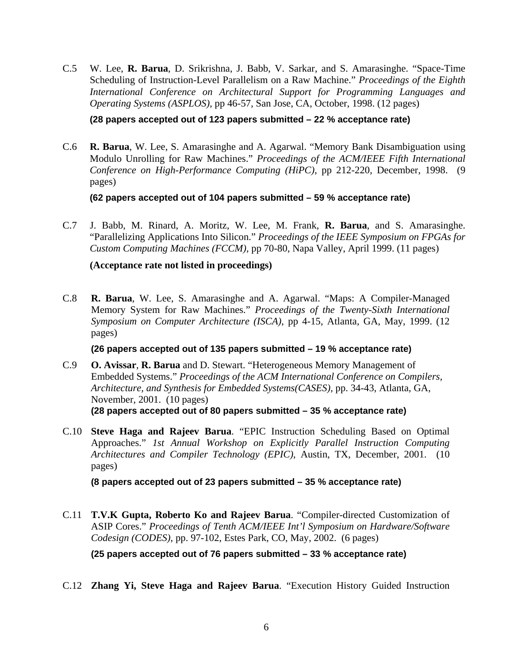C.5 W. Lee, **R. Barua**, D. Srikrishna, J. Babb, V. Sarkar, and S. Amarasinghe. "Space-Time Scheduling of Instruction-Level Parallelism on a Raw Machine." *Proceedings of the Eighth International Conference on Architectural Support for Programming Languages and Operating Systems (ASPLOS)*, pp 46-57, San Jose, CA, October, 1998. (12 pages)

**(28 papers accepted out of 123 papers submitted – 22 % acceptance rate)**

C.6 **R. Barua**, W. Lee, S. Amarasinghe and A. Agarwal. "Memory Bank Disambiguation using Modulo Unrolling for Raw Machines." *Proceedings of the ACM/IEEE Fifth International Conference on High-Performance Computing (HiPC)*, pp 212-220, December, 1998. (9 pages)

**(62 papers accepted out of 104 papers submitted – 59 % acceptance rate)**

C.7 J. Babb, M. Rinard, A. Moritz, W. Lee, M. Frank, **R. Barua**, and S. Amarasinghe. "Parallelizing Applications Into Silicon." *Proceedings of the IEEE Symposium on FPGAs for Custom Computing Machines (FCCM)*, pp 70-80, Napa Valley, April 1999. (11 pages)

**(Acceptance rate not listed in proceedings)**

C.8 **R. Barua**, W. Lee, S. Amarasinghe and A. Agarwal. "Maps: A Compiler-Managed Memory System for Raw Machines." *Proceedings of the Twenty-Sixth International Symposium on Computer Architecture (ISCA)*, pp 4-15, Atlanta, GA, May, 1999. (12 pages)

**(26 papers accepted out of 135 papers submitted – 19 % acceptance rate)**

- C.9 **O. Avissar**, **R. Barua** and D. Stewart. "Heterogeneous Memory Management of Embedded Systems." *Proceedings of the ACM International Conference on Compilers, Architecture, and Synthesis for Embedded Systems(CASES)*, pp. 34-43, Atlanta, GA, November, 2001. (10 pages) **(28 papers accepted out of 80 papers submitted – 35 % acceptance rate)**
- C.10 **Steve Haga and Rajeev Barua**. "EPIC Instruction Scheduling Based on Optimal Approaches." *1st Annual Workshop on Explicitly Parallel Instruction Computing Architectures and Compiler Technology (EPIC)*, Austin, TX, December, 2001. (10 pages)

**(8 papers accepted out of 23 papers submitted – 35 % acceptance rate)**

C.11 **T.V.K Gupta, Roberto Ko and Rajeev Barua**. "Compiler-directed Customization of ASIP Cores." *Proceedings of Tenth ACM/IEEE Int'l Symposium on Hardware/Software Codesign (CODES)*, pp. 97-102, Estes Park, CO, May, 2002. (6 pages)

**(25 papers accepted out of 76 papers submitted – 33 % acceptance rate)**

C.12 **Zhang Yi, Steve Haga and Rajeev Barua**. "Execution History Guided Instruction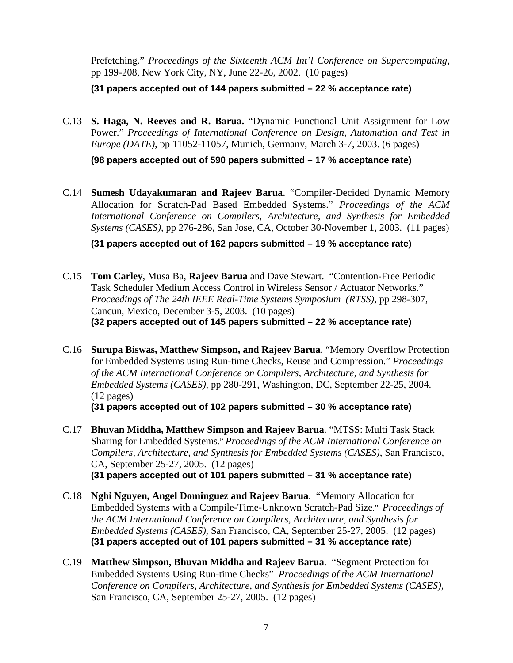Prefetching." *Proceedings of the Sixteenth ACM Int'l Conference on Supercomputing*, pp 199-208, New York City, NY, June 22-26, 2002. (10 pages)

**(31 papers accepted out of 144 papers submitted – 22 % acceptance rate)**

C.13 **S. Haga, N. Reeves and R. Barua.** "Dynamic Functional Unit Assignment for Low Power." *Proceedings of International Conference on Design, Automation and Test in Europe (DATE)*, pp 11052-11057, Munich, Germany, March 3-7, 2003. (6 pages)

**(98 papers accepted out of 590 papers submitted – 17 % acceptance rate)**

C.14 **Sumesh Udayakumaran and Rajeev Barua**. "Compiler-Decided Dynamic Memory Allocation for Scratch-Pad Based Embedded Systems." *Proceedings of the ACM International Conference on Compilers, Architecture, and Synthesis for Embedded Systems (CASES)*, pp 276-286, San Jose, CA, October 30-November 1, 2003. (11 pages)

**(31 papers accepted out of 162 papers submitted – 19 % acceptance rate)**

- C.15 **Tom Carley**, Musa Ba, **Rajeev Barua** and Dave Stewart. "Contention-Free Periodic Task Scheduler Medium Access Control in Wireless Sensor / Actuator Networks." *Proceedings of The 24th IEEE Real-Time Systems Symposium (RTSS)*, pp 298-307, Cancun, Mexico, December 3-5, 2003. (10 pages) **(32 papers accepted out of 145 papers submitted – 22 % acceptance rate)**
- C.16 **Surupa Biswas, Matthew Simpson, and Rajeev Barua**. "Memory Overflow Protection for Embedded Systems using Run-time Checks, Reuse and Compression." *Proceedings of the ACM International Conference on Compilers, Architecture, and Synthesis for Embedded Systems (CASES)*, pp 280-291, Washington, DC, September 22-25, 2004. (12 pages)

**(31 papers accepted out of 102 papers submitted – 30 % acceptance rate)**

- C.17 **Bhuvan Middha, Matthew Simpson and Rajeev Barua**. "MTSS: Multi Task Stack Sharing for Embedded Systems." *Proceedings of the ACM International Conference on Compilers, Architecture, and Synthesis for Embedded Systems (CASES)*, San Francisco, CA, September 25-27, 2005. (12 pages) **(31 papers accepted out of 101 papers submitted – 31 % acceptance rate)**
- C.18 **Nghi Nguyen, Angel Dominguez and Rajeev Barua**. "Memory Allocation for Embedded Systems with a Compile-Time-Unknown Scratch-Pad Size." *Proceedings of the ACM International Conference on Compilers, Architecture, and Synthesis for Embedded Systems (CASES)*, San Francisco, CA, September 25-27, 2005. (12 pages) **(31 papers accepted out of 101 papers submitted – 31 % acceptance rate)**
- C.19 **Matthew Simpson, Bhuvan Middha and Rajeev Barua**. "Segment Protection for Embedded Systems Using Run-time Checks" *Proceedings of the ACM International Conference on Compilers, Architecture, and Synthesis for Embedded Systems (CASES)*, San Francisco, CA, September 25-27, 2005. (12 pages)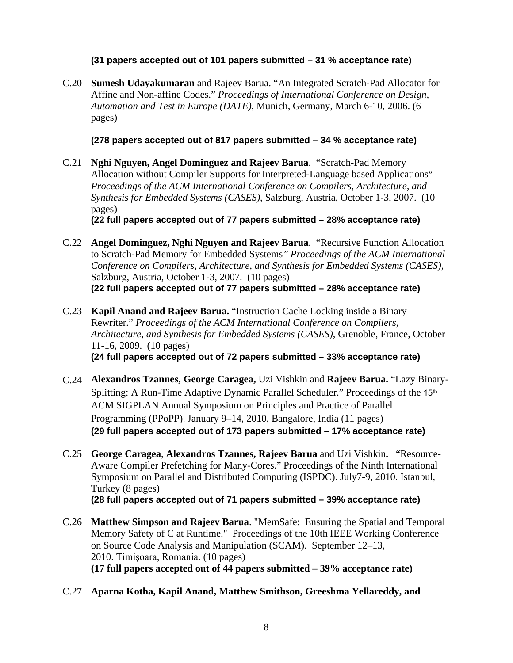#### **(31 papers accepted out of 101 papers submitted – 31 % acceptance rate)**

C.20 **Sumesh Udayakumaran** and Rajeev Barua. "An Integrated Scratch-Pad Allocator for Affine and Non-affine Codes." *Proceedings of International Conference on Design, Automation and Test in Europe (DATE)*, Munich, Germany, March 6-10, 2006. (6 pages)

#### **(278 papers accepted out of 817 papers submitted – 34 % acceptance rate)**

C.21 **Nghi Nguyen, Angel Dominguez and Rajeev Barua**. "Scratch-Pad Memory Allocation without Compiler Supports for Interpreted-Language based Applications" *Proceedings of the ACM International Conference on Compilers, Architecture, and Synthesis for Embedded Systems (CASES)*, Salzburg, Austria, October 1-3, 2007. (10 pages)

**(22 full papers accepted out of 77 papers submitted – 28% acceptance rate)**

- C.22 **Angel Dominguez, Nghi Nguyen and Rajeev Barua**. "Recursive Function Allocation to Scratch-Pad Memory for Embedded Systems*" Proceedings of the ACM International Conference on Compilers, Architecture, and Synthesis for Embedded Systems (CASES)*, Salzburg, Austria, October 1-3, 2007. (10 pages) **(22 full papers accepted out of 77 papers submitted – 28% acceptance rate)**
- C.23 **Kapil Anand and Rajeev Barua.** "Instruction Cache Locking inside a Binary Rewriter." *Proceedings of the ACM International Conference on Compilers, Architecture, and Synthesis for Embedded Systems (CASES)*, Grenoble, France, October 11-16, 2009. (10 pages) **(24 full papers accepted out of 72 papers submitted – 33% acceptance rate)**
- C.24 **Alexandros Tzannes, George Caragea,** Uzi Vishkin and **Rajeev Barua.** "Lazy Binary-Splitting: A Run-Time Adaptive Dynamic Parallel Scheduler." Proceedings of the 15<sup>th</sup> ACM SIGPLAN Annual Symposium on Principles and Practice of Parallel Programming (PPoPP). January 9–14, 2010, Bangalore, India (11 pages) **(29 full papers accepted out of 173 papers submitted – 17% acceptance rate)**
- C.25 **George Caragea**, **Alexandros Tzannes, Rajeev Barua** and Uzi Vishkin**.** "Resource-Aware Compiler Prefetching for Many-Cores." Proceedings of the Ninth International Symposium on Parallel and Distributed Computing (ISPDC). July7-9, 2010. Istanbul, Turkey (8 pages)

**(28 full papers accepted out of 71 papers submitted – 39% acceptance rate)**

- C.26 **Matthew Simpson and Rajeev Barua**. "MemSafe: Ensuring the Spatial and Temporal Memory Safety of C at Runtime." Proceedings of the 10th IEEE Working Conference on Source Code Analysis and Manipulation (SCAM). September 12–13, 2010. Timişoara, Romania. (10 pages) **(17 full papers accepted out of 44 papers submitted – 39% acceptance rate)**
- C.27 **Aparna Kotha, Kapil Anand, Matthew Smithson, Greeshma Yellareddy, and**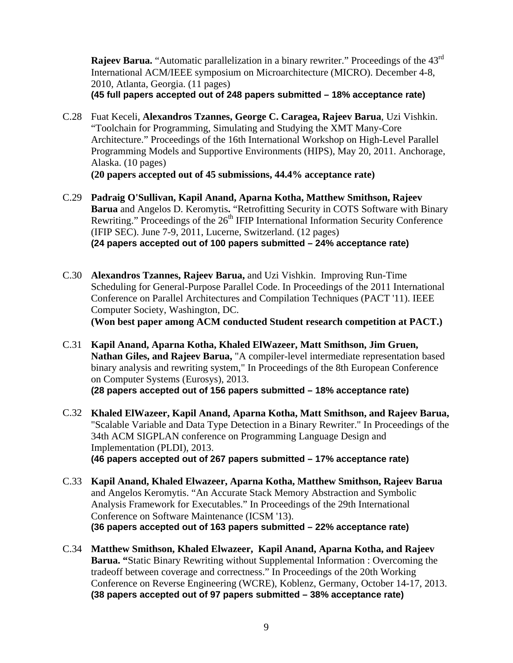**Rajeev Barua.** "Automatic parallelization in a binary rewriter." Proceedings of the 43<sup>rd</sup> International ACM/IEEE symposium on Microarchitecture (MICRO). December 4-8, 2010, Atlanta, Georgia. (11 pages) **(45 full papers accepted out of 248 papers submitted – 18% acceptance rate)**

- C.28 Fuat Keceli, **Alexandros Tzannes, George C. Caragea, Rajeev Barua**, Uzi Vishkin. "Toolchain for Programming, Simulating and Studying the XMT Many-Core Architecture." Proceedings of the 16th International Workshop on High-Level Parallel Programming Models and Supportive Environments (HIPS), May 20, 2011. Anchorage, Alaska. (10 pages) **(20 papers accepted out of 45 submissions, 44.4% acceptance rate)**
- C.29 **Padraig O'Sullivan, Kapil Anand, Aparna Kotha, Matthew Smithson, Rajeev Barua** and Angelos D. Keromytis**.** "Retrofitting Security in COTS Software with Binary Rewriting." Proceedings of the 26<sup>th</sup> IFIP International Information Security Conference (IFIP SEC). June 7-9, 2011, Lucerne, Switzerland. (12 pages) **(24 papers accepted out of 100 papers submitted – 24% acceptance rate)**
- C.30 **Alexandros Tzannes, Rajeev Barua,** and Uzi Vishkin. Improving Run-Time Scheduling for General-Purpose Parallel Code. In Proceedings of the 2011 International Conference on Parallel Architectures and Compilation Techniques (PACT '11). IEEE Computer Society, Washington, DC. **(Won best paper among ACM conducted Student research competition at PACT.)**
- C.31 **Kapil Anand, Aparna Kotha, Khaled ElWazeer, Matt Smithson, Jim Gruen, Nathan Giles, and Rajeev Barua,** "A compiler-level intermediate representation based binary analysis and rewriting system," In Proceedings of the 8th European Conference on Computer Systems (Eurosys), 2013. **(28 papers accepted out of 156 papers submitted – 18% acceptance rate)**
- C.32 **Khaled ElWazeer, Kapil Anand, Aparna Kotha, Matt Smithson, and Rajeev Barua,** "Scalable Variable and Data Type Detection in a Binary Rewriter." In Proceedings of the 34th ACM SIGPLAN conference on Programming Language Design and Implementation (PLDI), 2013. **(46 papers accepted out of 267 papers submitted – 17% acceptance rate)**
- C.33 **Kapil Anand, Khaled Elwazeer, Aparna Kotha, Matthew Smithson, Rajeev Barua**  and Angelos Keromytis. "An Accurate Stack Memory Abstraction and Symbolic Analysis Framework for Executables." In Proceedings of the 29th International Conference on Software Maintenance (ICSM '13). **(36 papers accepted out of 163 papers submitted – 22% acceptance rate)**
- C.34 **Matthew Smithson, Khaled Elwazeer, Kapil Anand, Aparna Kotha, and Rajeev Barua. "**Static Binary Rewriting without Supplemental Information : Overcoming the tradeoff between coverage and correctness." In Proceedings of the 20th Working Conference on Reverse Engineering (WCRE), Koblenz, Germany, October 14-17, 2013. **(38 papers accepted out of 97 papers submitted – 38% acceptance rate)**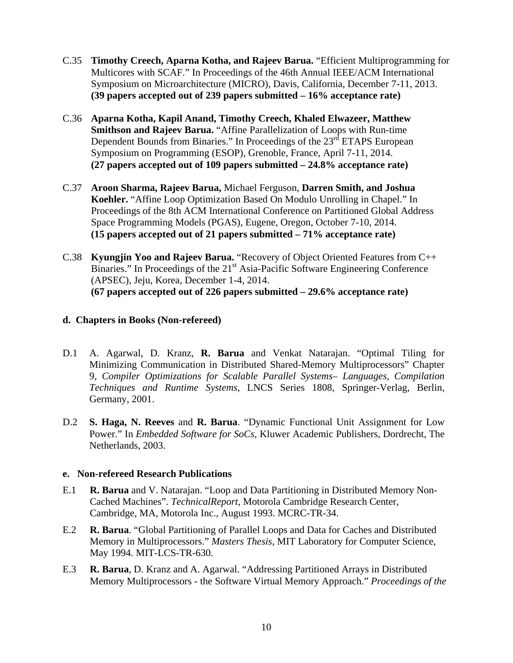- C.35 **Timothy Creech, Aparna Kotha, and Rajeev Barua.** "Efficient Multiprogramming for Multicores with SCAF." In Proceedings of the 46th Annual IEEE/ACM International Symposium on Microarchitecture (MICRO), Davis, California, December 7-11, 2013. **(39 papers accepted out of 239 papers submitted – 16% acceptance rate)**
- C.36 **Aparna Kotha, Kapil Anand, Timothy Creech, Khaled Elwazeer, Matthew Smithson and Rajeev Barua.** "Affine Parallelization of Loops with Run-time Dependent Bounds from Binaries." In Proceedings of the  $23<sup>rd</sup>$  ETAPS European Symposium on Programming (ESOP), Grenoble, France, April 7-11, 2014. **(27 papers accepted out of 109 papers submitted – 24.8% acceptance rate)**
- C.37 **Aroon Sharma, Rajeev Barua,** Michael Ferguson, **Darren Smith, and Joshua Koehler.** "Affine Loop Optimization Based On Modulo Unrolling in Chapel." In Proceedings of the 8th ACM International Conference on Partitioned Global Address Space Programming Models (PGAS), Eugene, Oregon, October 7-10, 2014. **(15 papers accepted out of 21 papers submitted – 71% acceptance rate)**
- C.38 **Kyungjin Yoo and Rajeev Barua.** "Recovery of Object Oriented Features from C++ Binaries." In Proceedings of the  $21<sup>st</sup> Asia-Pacific Software Engineering Conference$ (APSEC), Jeju, Korea, December 1-4, 2014. **(67 papers accepted out of 226 papers submitted – 29.6% acceptance rate)**

#### **d. Chapters in Books (Non-refereed)**

- D.1 A. Agarwal, D. Kranz, **R. Barua** and Venkat Natarajan. "Optimal Tiling for Minimizing Communication in Distributed Shared-Memory Multiprocessors" Chapter 9, *Compiler Optimizations for Scalable Parallel Systems– Languages, Compilation Techniques and Runtime Systems*, LNCS Series 1808, Springer-Verlag, Berlin, Germany, 2001.
- D.2 **S. Haga, N. Reeves** and **R. Barua**. "Dynamic Functional Unit Assignment for Low Power." In *Embedded Software for SoCs*, Kluwer Academic Publishers, Dordrecht, The Netherlands, 2003.

#### **e. Non-refereed Research Publications**

- E.1 **R. Barua** and V. Natarajan. "Loop and Data Partitioning in Distributed Memory Non-Cached Machines". *TechnicalReport*, Motorola Cambridge Research Center, Cambridge, MA, Motorola Inc., August 1993. MCRC-TR-34.
- E.2 **R. Barua**. "Global Partitioning of Parallel Loops and Data for Caches and Distributed Memory in Multiprocessors." *Masters Thesis*, MIT Laboratory for Computer Science, May 1994. MIT-LCS-TR-630.
- E.3 **R. Barua**, D. Kranz and A. Agarwal. "Addressing Partitioned Arrays in Distributed Memory Multiprocessors - the Software Virtual Memory Approach." *Proceedings of the*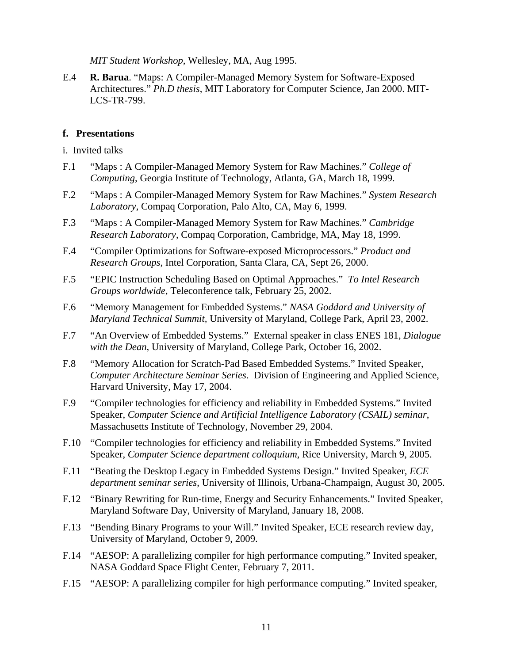*MIT Student Workshop*, Wellesley, MA, Aug 1995.

E.4 **R. Barua**. "Maps: A Compiler-Managed Memory System for Software-Exposed Architectures." *Ph.D thesis*, MIT Laboratory for Computer Science, Jan 2000. MIT-LCS-TR-799.

#### **f. Presentations**

- i. Invited talks
- F.1 "Maps : A Compiler-Managed Memory System for Raw Machines." *College of Computing*, Georgia Institute of Technology, Atlanta, GA, March 18, 1999.
- F.2 "Maps : A Compiler-Managed Memory System for Raw Machines." *System Research Laboratory*, Compaq Corporation, Palo Alto, CA, May 6, 1999.
- F.3 "Maps : A Compiler-Managed Memory System for Raw Machines." *Cambridge Research Laboratory*, Compaq Corporation, Cambridge, MA, May 18, 1999.
- F.4 "Compiler Optimizations for Software-exposed Microprocessors." *Product and Research Groups*, Intel Corporation, Santa Clara, CA, Sept 26, 2000.
- F.5 "EPIC Instruction Scheduling Based on Optimal Approaches." *To Intel Research Groups worldwide*, Teleconference talk, February 25, 2002.
- F.6 "Memory Management for Embedded Systems." *NASA Goddard and University of Maryland Technical Summit,* University of Maryland, College Park, April 23, 2002.
- F.7 "An Overview of Embedded Systems." External speaker in class ENES 181, *Dialogue with the Dean*, University of Maryland, College Park, October 16, 2002.
- F.8 "Memory Allocation for Scratch-Pad Based Embedded Systems." Invited Speaker, *Computer Architecture Seminar Series*. Division of Engineering and Applied Science, Harvard University, May 17, 2004.
- F.9 "Compiler technologies for efficiency and reliability in Embedded Systems." Invited Speaker, *Computer Science and Artificial Intelligence Laboratory (CSAIL) seminar*, Massachusetts Institute of Technology, November 29, 2004.
- F.10 "Compiler technologies for efficiency and reliability in Embedded Systems." Invited Speaker, *Computer Science department colloquium*, Rice University, March 9, 2005.
- F.11 "Beating the Desktop Legacy in Embedded Systems Design." Invited Speaker, *ECE department seminar series*, University of Illinois, Urbana-Champaign, August 30, 2005.
- F.12 "Binary Rewriting for Run-time, Energy and Security Enhancements." Invited Speaker, Maryland Software Day, University of Maryland, January 18, 2008.
- F.13 "Bending Binary Programs to your Will." Invited Speaker, ECE research review day, University of Maryland, October 9, 2009.
- F.14 "AESOP: A parallelizing compiler for high performance computing." Invited speaker, NASA Goddard Space Flight Center, February 7, 2011.
- F.15 "AESOP: A parallelizing compiler for high performance computing." Invited speaker,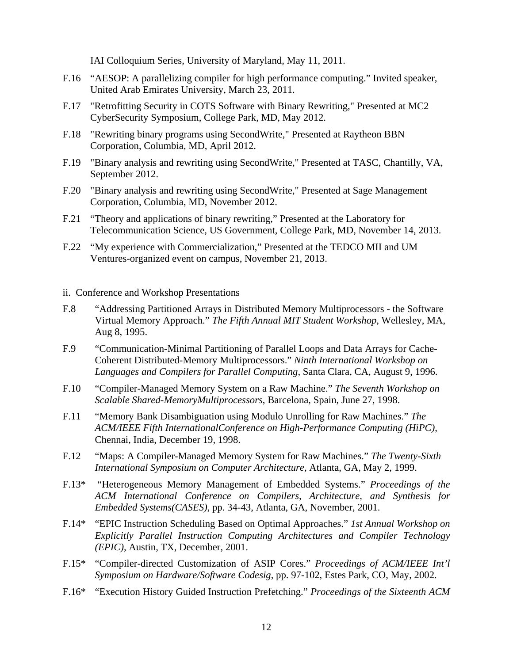IAI Colloquium Series, University of Maryland, May 11, 2011.

- F.16 "AESOP: A parallelizing compiler for high performance computing." Invited speaker, United Arab Emirates University, March 23, 2011.
- F.17 "Retrofitting Security in COTS Software with Binary Rewriting," Presented at MC2 CyberSecurity Symposium, College Park, MD, May 2012.
- F.18 "Rewriting binary programs using SecondWrite," Presented at Raytheon BBN Corporation, Columbia, MD, April 2012.
- F.19 "Binary analysis and rewriting using SecondWrite," Presented at TASC, Chantilly, VA, September 2012.
- F.20 "Binary analysis and rewriting using SecondWrite," Presented at Sage Management Corporation, Columbia, MD, November 2012.
- F.21 "Theory and applications of binary rewriting," Presented at the Laboratory for Telecommunication Science, US Government, College Park, MD, November 14, 2013.
- F.22 "My experience with Commercialization," Presented at the TEDCO MII and UM Ventures-organized event on campus, November 21, 2013.
- ii. Conference and Workshop Presentations
- F.8 "Addressing Partitioned Arrays in Distributed Memory Multiprocessors the Software Virtual Memory Approach." *The Fifth Annual MIT Student Workshop*, Wellesley, MA, Aug 8, 1995.
- F.9 "Communication-Minimal Partitioning of Parallel Loops and Data Arrays for Cache-Coherent Distributed-Memory Multiprocessors." *Ninth International Workshop on Languages and Compilers for Parallel Computing*, Santa Clara, CA, August 9, 1996.
- F.10 "Compiler-Managed Memory System on a Raw Machine." *The Seventh Workshop on Scalable Shared-MemoryMultiprocessors*, Barcelona, Spain, June 27, 1998.
- F.11 "Memory Bank Disambiguation using Modulo Unrolling for Raw Machines." *The ACM/IEEE Fifth InternationalConference on High-Performance Computing (HiPC)*, Chennai, India, December 19, 1998.
- F.12 "Maps: A Compiler-Managed Memory System for Raw Machines." *The Twenty-Sixth International Symposium on Computer Architecture*, Atlanta, GA, May 2, 1999.
- F.13\* "Heterogeneous Memory Management of Embedded Systems." *Proceedings of the ACM International Conference on Compilers, Architecture, and Synthesis for Embedded Systems(CASES)*, pp. 34-43, Atlanta, GA, November, 2001.
- F.14\* "EPIC Instruction Scheduling Based on Optimal Approaches." *1st Annual Workshop on Explicitly Parallel Instruction Computing Architectures and Compiler Technology (EPIC)*, Austin, TX, December, 2001.
- F.15\* "Compiler-directed Customization of ASIP Cores." *Proceedings of ACM/IEEE Int'l Symposium on Hardware/Software Codesig*, pp. 97-102, Estes Park, CO, May, 2002.
- F.16\* "Execution History Guided Instruction Prefetching." *Proceedings of the Sixteenth ACM*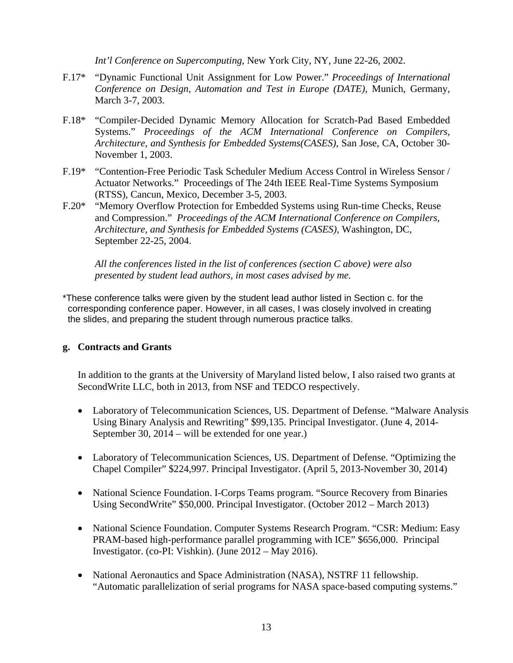*Int'l Conference on Supercomputing*, New York City, NY, June 22-26, 2002.

- F.17\* "Dynamic Functional Unit Assignment for Low Power." *Proceedings of International Conference on Design, Automation and Test in Europe (DATE)*, Munich, Germany, March 3-7, 2003.
- F.18\* "Compiler-Decided Dynamic Memory Allocation for Scratch-Pad Based Embedded Systems." *Proceedings of the ACM International Conference on Compilers, Architecture, and Synthesis for Embedded Systems(CASES)*, San Jose, CA, October 30- November 1, 2003.
- F.19\* "Contention-Free Periodic Task Scheduler Medium Access Control in Wireless Sensor / Actuator Networks." Proceedings of The 24th IEEE Real-Time Systems Symposium (RTSS), Cancun, Mexico, December 3-5, 2003.
- F.20\* "Memory Overflow Protection for Embedded Systems using Run-time Checks, Reuse and Compression." *Proceedings of the ACM International Conference on Compilers, Architecture, and Synthesis for Embedded Systems (CASES)*, Washington, DC, September 22-25, 2004.

*All the conferences listed in the list of conferences (section C above) were also presented by student lead authors, in most cases advised by me.*

\*These conference talks were given by the student lead author listed in Section c. for the corresponding conference paper. However, in all cases, I was closely involved in creating the slides, and preparing the student through numerous practice talks.

#### **g. Contracts and Grants**

In addition to the grants at the University of Maryland listed below, I also raised two grants at SecondWrite LLC, both in 2013, from NSF and TEDCO respectively.

- Laboratory of Telecommunication Sciences, US. Department of Defense. "Malware Analysis Using Binary Analysis and Rewriting" \$99,135. Principal Investigator. (June 4, 2014- September 30, 2014 – will be extended for one year.)
- Laboratory of Telecommunication Sciences, US. Department of Defense. "Optimizing the Chapel Compiler" \$224,997. Principal Investigator. (April 5, 2013-November 30, 2014)
- National Science Foundation. I-Corps Teams program. "Source Recovery from Binaries Using SecondWrite" \$50,000. Principal Investigator. (October 2012 – March 2013)
- National Science Foundation. Computer Systems Research Program. "CSR: Medium: Easy PRAM-based high-performance parallel programming with ICE" \$656,000. Principal Investigator. (co-PI: Vishkin). (June 2012 – May 2016).
- National Aeronautics and Space Administration (NASA), NSTRF 11 fellowship. "Automatic parallelization of serial programs for NASA space-based computing systems."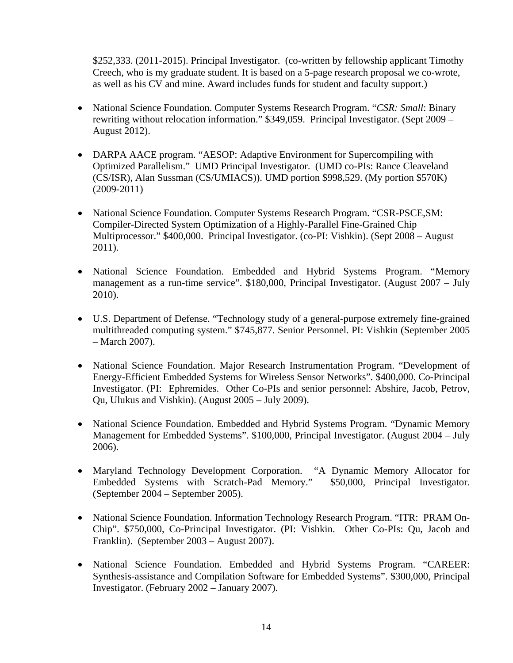\$252,333. (2011-2015). Principal Investigator. (co-written by fellowship applicant Timothy Creech, who is my graduate student. It is based on a 5-page research proposal we co-wrote, as well as his CV and mine. Award includes funds for student and faculty support.)

- National Science Foundation. Computer Systems Research Program. "*CSR: Small*: Binary rewriting without relocation information." \$349,059. Principal Investigator. (Sept 2009 – August 2012).
- DARPA AACE program. "AESOP: Adaptive Environment for Supercompiling with Optimized Parallelism." UMD Principal Investigator. (UMD co-PIs: Rance Cleaveland (CS/ISR), Alan Sussman (CS/UMIACS)). UMD portion \$998,529. (My portion \$570K) (2009-2011)
- National Science Foundation. Computer Systems Research Program. "CSR-PSCE,SM: Compiler-Directed System Optimization of a Highly-Parallel Fine-Grained Chip Multiprocessor." \$400,000. Principal Investigator. (co-PI: Vishkin). (Sept 2008 – August 2011).
- National Science Foundation. Embedded and Hybrid Systems Program. "Memory management as a run-time service". \$180,000, Principal Investigator. (August 2007 – July 2010).
- U.S. Department of Defense. "Technology study of a general-purpose extremely fine-grained multithreaded computing system." \$745,877. Senior Personnel. PI: Vishkin (September 2005 – March 2007).
- National Science Foundation. Major Research Instrumentation Program. "Development of Energy-Efficient Embedded Systems for Wireless Sensor Networks". \$400,000. Co-Principal Investigator. (PI: Ephremides. Other Co-PIs and senior personnel: Abshire, Jacob, Petrov, Qu, Ulukus and Vishkin). (August 2005 – July 2009).
- National Science Foundation. Embedded and Hybrid Systems Program. "Dynamic Memory Management for Embedded Systems". \$100,000, Principal Investigator. (August 2004 – July 2006).
- Maryland Technology Development Corporation. "A Dynamic Memory Allocator for Embedded Systems with Scratch-Pad Memory." \$50,000, Principal Investigator. (September 2004 – September 2005).
- National Science Foundation. Information Technology Research Program. "ITR: PRAM On-Chip". \$750,000, Co-Principal Investigator. (PI: Vishkin. Other Co-PIs: Qu, Jacob and Franklin). (September 2003 – August 2007).
- National Science Foundation. Embedded and Hybrid Systems Program. "CAREER: Synthesis-assistance and Compilation Software for Embedded Systems". \$300,000, Principal Investigator. (February 2002 – January 2007).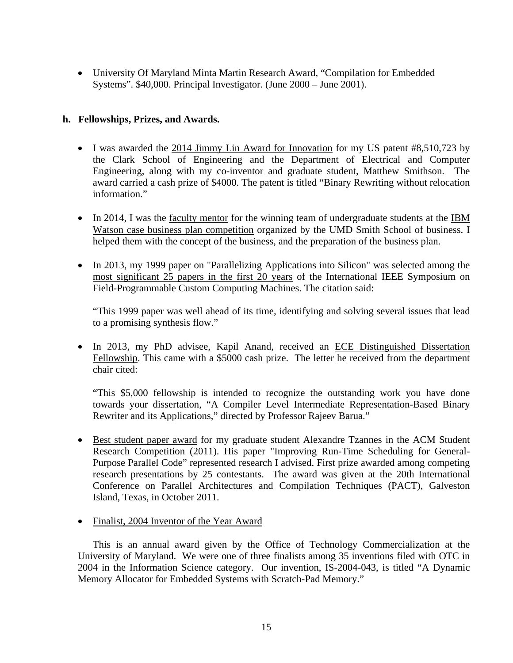• University Of Maryland Minta Martin Research Award, "Compilation for Embedded Systems". \$40,000. Principal Investigator. (June 2000 – June 2001).

#### **h. Fellowships, Prizes, and Awards.**

- I was awarded the 2014 Jimmy Lin Award for Innovation for my US patent #8,510,723 by the Clark School of Engineering and the Department of Electrical and Computer Engineering, along with my co-inventor and graduate student, Matthew Smithson. The award carried a cash prize of \$4000. The patent is titled "Binary Rewriting without relocation information."
- In 2014, I was the faculty mentor for the winning team of undergraduate students at the IBM Watson case business plan competition organized by the UMD Smith School of business. I helped them with the concept of the business, and the preparation of the business plan.
- In 2013, my 1999 paper on "Parallelizing Applications into Silicon" was selected among the most significant 25 papers in the first 20 years of the International IEEE Symposium on Field-Programmable Custom Computing Machines. The citation said:

"This 1999 paper was well ahead of its time, identifying and solving several issues that lead to a promising synthesis flow."

• In 2013, my PhD advisee, Kapil Anand, received an ECE Distinguished Dissertation Fellowship. This came with a \$5000 cash prize. The letter he received from the department chair cited:

"This \$5,000 fellowship is intended to recognize the outstanding work you have done towards your dissertation, "A Compiler Level Intermediate Representation-Based Binary Rewriter and its Applications," directed by Professor Rajeev Barua."

- Best student paper award for my graduate student Alexandre Tzannes in the ACM Student Research Competition (2011). His paper "Improving Run-Time Scheduling for General-Purpose Parallel Code" represented research I advised. First prize awarded among competing research presentations by 25 contestants. The award was given at the 20th International Conference on Parallel Architectures and Compilation Techniques (PACT), Galveston Island, Texas, in October 2011.
- Finalist, 2004 Inventor of the Year Award

This is an annual award given by the Office of Technology Commercialization at the University of Maryland. We were one of three finalists among 35 inventions filed with OTC in 2004 in the Information Science category. Our invention, IS-2004-043, is titled "A Dynamic Memory Allocator for Embedded Systems with Scratch-Pad Memory."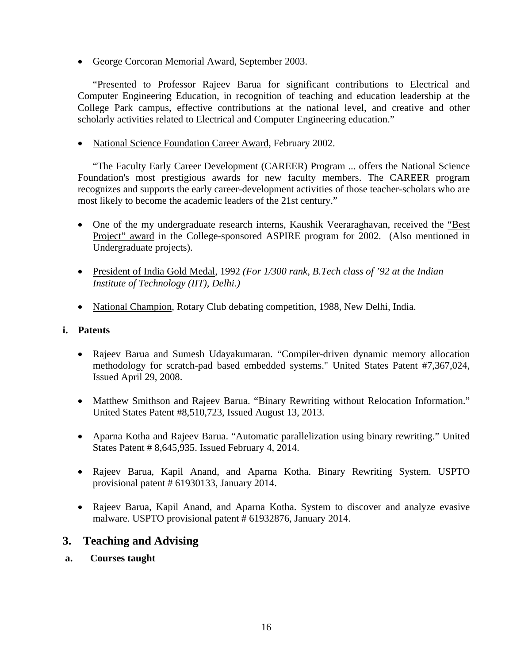• George Corcoran Memorial Award, September 2003.

"Presented to Professor Rajeev Barua for significant contributions to Electrical and Computer Engineering Education, in recognition of teaching and education leadership at the College Park campus, effective contributions at the national level, and creative and other scholarly activities related to Electrical and Computer Engineering education."

• National Science Foundation Career Award, February 2002.

"The Faculty Early Career Development (CAREER) Program ... offers the National Science Foundation's most prestigious awards for new faculty members. The CAREER program recognizes and supports the early career-development activities of those teacher-scholars who are most likely to become the academic leaders of the 21st century."

- One of the my undergraduate research interns, Kaushik Veeraraghavan, received the "Best" Project" award in the College-sponsored ASPIRE program for 2002. (Also mentioned in Undergraduate projects).
- President of India Gold Medal, 1992 *(For 1/300 rank, B.Tech class of '92 at the Indian Institute of Technology (IIT), Delhi.)*
- National Champion, Rotary Club debating competition, 1988, New Delhi, India.

#### **i. Patents**

- Rajeev Barua and Sumesh Udayakumaran. "Compiler-driven dynamic memory allocation methodology for scratch-pad based embedded systems." United States Patent #7,367,024, Issued April 29, 2008.
- Matthew Smithson and Rajeev Barua. "Binary Rewriting without Relocation Information." United States Patent #8,510,723, Issued August 13, 2013.
- Aparna Kotha and Rajeev Barua. "Automatic parallelization using binary rewriting." United States Patent # 8,645,935. Issued February 4, 2014.
- Rajeev Barua, Kapil Anand, and Aparna Kotha. Binary Rewriting System. USPTO provisional patent # 61930133, January 2014.
- Rajeev Barua, Kapil Anand, and Aparna Kotha. System to discover and analyze evasive malware. USPTO provisional patent # 61932876, January 2014.

# **3. Teaching and Advising**

**a. Courses taught**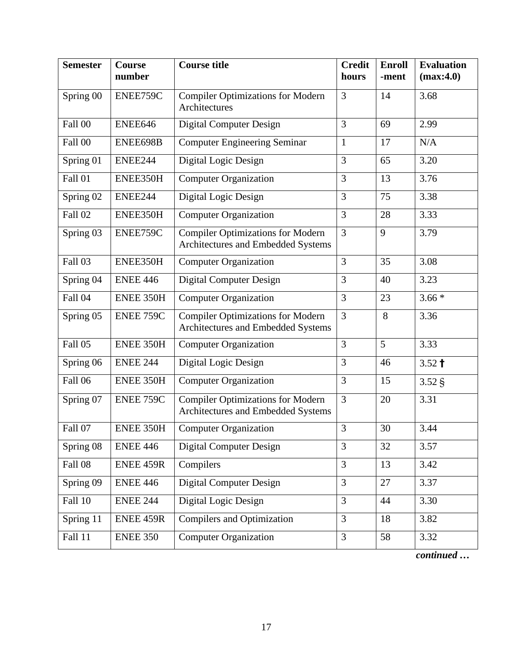| <b>Semester</b>               | <b>Course</b><br>number | <b>Course title</b>                                                            | <b>Credit</b><br>hours | <b>Enroll</b><br>-ment | <b>Evaluation</b><br>(max:4.0) |
|-------------------------------|-------------------------|--------------------------------------------------------------------------------|------------------------|------------------------|--------------------------------|
| Spring 00                     | ENEE759C                | <b>Compiler Optimizations for Modern</b><br>Architectures                      | 3                      | 14                     | 3.68                           |
| Fall 00                       | ENEE646                 | <b>Digital Computer Design</b>                                                 | 3                      | 69                     | 2.99                           |
| Fall 00                       | ENEE698B                | <b>Computer Engineering Seminar</b>                                            | 1                      | 17                     | N/A                            |
| Spring 01                     | ENEE244                 | Digital Logic Design                                                           | 3                      | 65                     | 3.20                           |
| Fall 01                       | ENEE350H                | <b>Computer Organization</b>                                                   | 3                      | 13                     | 3.76                           |
| Spring 02                     | ENEE244                 | Digital Logic Design                                                           | 3                      | 75                     | 3.38                           |
| Fall 02                       | ENEE350H                | <b>Computer Organization</b>                                                   | 3                      | 28                     | 3.33                           |
| Spring 03                     | ENEE759C                | <b>Compiler Optimizations for Modern</b><br>Architectures and Embedded Systems | 3                      | 9                      | 3.79                           |
| Fall 03                       | ENEE350H                | <b>Computer Organization</b>                                                   | 3                      | 35                     | 3.08                           |
| Spring 04                     | <b>ENEE 446</b>         | <b>Digital Computer Design</b>                                                 | 3                      | 40                     | 3.23                           |
| Fall 04                       | ENEE 350H               | <b>Computer Organization</b>                                                   | 3                      | 23                     | $3.66*$                        |
| $\overline{\text{Spring}}$ 05 | ENEE 759C               | <b>Compiler Optimizations for Modern</b><br>Architectures and Embedded Systems | 3                      | 8                      | 3.36                           |
| Fall 05                       | ENEE 350H               | <b>Computer Organization</b>                                                   | 3                      | $\overline{5}$         | 3.33                           |
| Spring 06                     | <b>ENEE 244</b>         | Digital Logic Design                                                           | 3                      | 46                     | $3.52 \text{ }^{\text{+}}$     |
| Fall 06                       | ENEE 350H               | <b>Computer Organization</b>                                                   | 3                      | 15                     | 3.52 <sub>§</sub>              |
| Spring 07                     | ENEE 759C               | <b>Compiler Optimizations for Modern</b><br>Architectures and Embedded Systems | 3                      | 20                     | 3.31                           |
| Fall 07                       | ENEE 350H               | <b>Computer Organization</b>                                                   | 3                      | 30                     | 3.44                           |
| Spring 08                     | <b>ENEE 446</b>         | <b>Digital Computer Design</b>                                                 | $\overline{3}$         | 32                     | 3.57                           |
| Fall 08                       | ENEE 459R               | Compilers                                                                      | 3                      | 13                     | 3.42                           |
| Spring 09                     | <b>ENEE 446</b>         | <b>Digital Computer Design</b>                                                 | $\overline{3}$         | 27                     | 3.37                           |
| Fall 10                       | <b>ENEE 244</b>         | Digital Logic Design                                                           | 3                      | 44                     | 3.30                           |
| Spring 11                     | <b>ENEE 459R</b>        | <b>Compilers and Optimization</b>                                              | 3                      | 18                     | 3.82                           |
| Fall 11                       | <b>ENEE 350</b>         | <b>Computer Organization</b>                                                   | 3                      | 58                     | 3.32                           |

*continued …*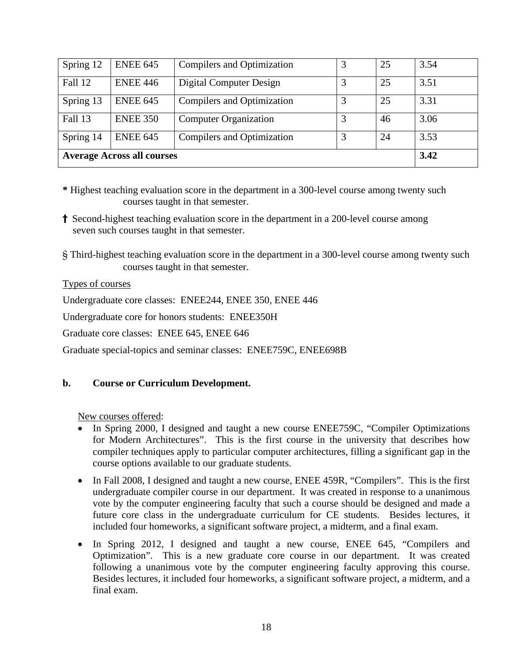| Spring 12                                                             | <b>ENEE 645</b> | 25<br>3<br>Compilers and Optimization |  |      | 3.54 |
|-----------------------------------------------------------------------|-----------------|---------------------------------------|--|------|------|
| Fall 12                                                               | <b>ENEE 446</b> | Digital Computer Design               |  | 25   | 3.51 |
| Spring 13                                                             | <b>ENEE 645</b> | Compilers and Optimization            |  | 25   | 3.31 |
| Fall 13                                                               | <b>ENEE 350</b> | <b>Computer Organization</b>          |  | 46   | 3.06 |
| <b>ENEE 645</b><br>Compilers and Optimization<br>3<br>24<br>Spring 14 |                 |                                       |  | 3.53 |      |
| <b>Average Across all courses</b>                                     |                 |                                       |  |      | 3.42 |

- **\*** Highest teaching evaluation score in the department in a 300-level course among twenty such courses taught in that semester.
- **†** Second-highest teaching evaluation score in the department in a 200-level course among seven such courses taught in that semester.
- § Third-highest teaching evaluation score in the department in a 300-level course among twenty such courses taught in that semester.

#### Types of courses

Undergraduate core classes: ENEE244, ENEE 350, ENEE 446

Undergraduate core for honors students: ENEE350H

Graduate core classes: ENEE 645, ENEE 646

Graduate special-topics and seminar classes: ENEE759C, ENEE698B

# **b. Course or Curriculum Development.**

New courses offered:

- In Spring 2000, I designed and taught a new course ENEE759C, "Compiler Optimizations for Modern Architectures". This is the first course in the university that describes how compiler techniques apply to particular computer architectures, filling a significant gap in the course options available to our graduate students.
- In Fall 2008, I designed and taught a new course, ENEE 459R, "Compilers". This is the first undergraduate compiler course in our department. It was created in response to a unanimous vote by the computer engineering faculty that such a course should be designed and made a future core class in the undergraduate curriculum for CE students. Besides lectures, it included four homeworks, a significant software project, a midterm, and a final exam.
- In Spring 2012, I designed and taught a new course, ENEE 645, "Compilers and Optimization". This is a new graduate core course in our department. It was created following a unanimous vote by the computer engineering faculty approving this course. Besides lectures, it included four homeworks, a significant software project, a midterm, and a final exam.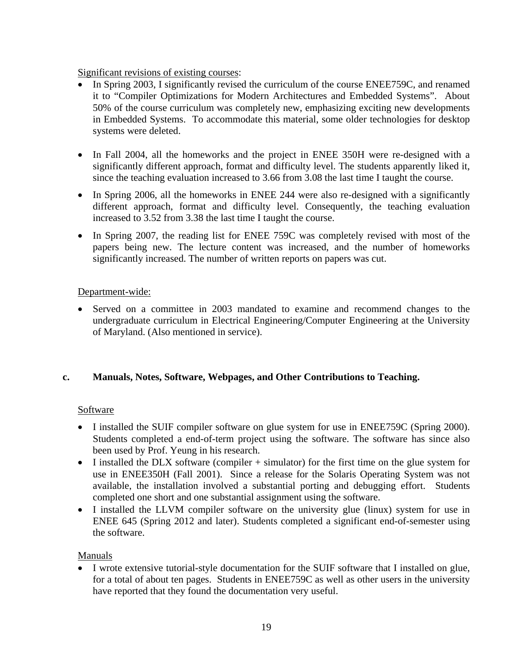Significant revisions of existing courses:

- In Spring 2003, I significantly revised the curriculum of the course ENEE759C, and renamed it to "Compiler Optimizations for Modern Architectures and Embedded Systems". About 50% of the course curriculum was completely new, emphasizing exciting new developments in Embedded Systems. To accommodate this material, some older technologies for desktop systems were deleted.
- In Fall 2004, all the homeworks and the project in ENEE 350H were re-designed with a significantly different approach, format and difficulty level. The students apparently liked it, since the teaching evaluation increased to 3.66 from 3.08 the last time I taught the course.
- In Spring 2006, all the homeworks in ENEE 244 were also re-designed with a significantly different approach, format and difficulty level. Consequently, the teaching evaluation increased to 3.52 from 3.38 the last time I taught the course.
- In Spring 2007, the reading list for ENEE 759C was completely revised with most of the papers being new. The lecture content was increased, and the number of homeworks significantly increased. The number of written reports on papers was cut.

# Department-wide:

• Served on a committee in 2003 mandated to examine and recommend changes to the undergraduate curriculum in Electrical Engineering/Computer Engineering at the University of Maryland. (Also mentioned in service).

# **c. Manuals, Notes, Software, Webpages, and Other Contributions to Teaching.**

# Software

- I installed the SUIF compiler software on glue system for use in ENEE759C (Spring 2000). Students completed a end-of-term project using the software. The software has since also been used by Prof. Yeung in his research.
- I installed the DLX software (compiler + simulator) for the first time on the glue system for use in ENEE350H (Fall 2001). Since a release for the Solaris Operating System was not available, the installation involved a substantial porting and debugging effort. Students completed one short and one substantial assignment using the software.
- I installed the LLVM compiler software on the university glue (linux) system for use in ENEE 645 (Spring 2012 and later). Students completed a significant end-of-semester using the software.

# Manuals

• I wrote extensive tutorial-style documentation for the SUIF software that I installed on glue, for a total of about ten pages. Students in ENEE759C as well as other users in the university have reported that they found the documentation very useful.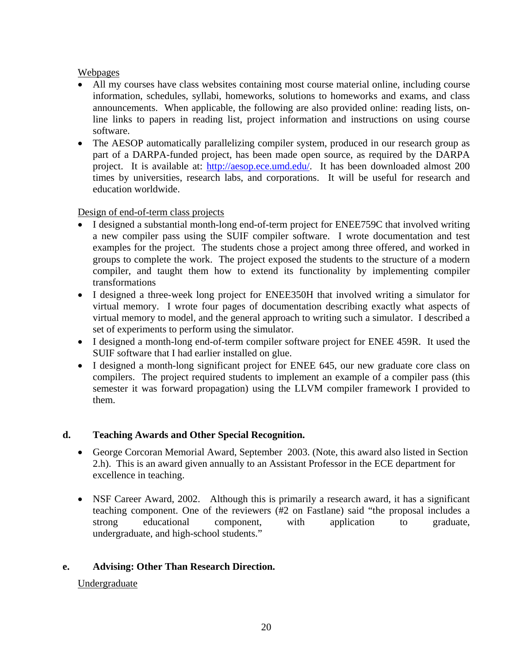# Webpages

- All my courses have class websites containing most course material online, including course information, schedules, syllabi, homeworks, solutions to homeworks and exams, and class announcements. When applicable, the following are also provided online: reading lists, online links to papers in reading list, project information and instructions on using course software.
- The AESOP automatically parallelizing compiler system, produced in our research group as part of a DARPA-funded project, has been made open source, as required by the DARPA project. It is available at: [http://aesop.ece.umd.edu/.](http://aesop.ece.umd.edu/) It has been downloaded almost 200 times by universities, research labs, and corporations. It will be useful for research and education worldwide.

# Design of end-of-term class projects

- I designed a substantial month-long end-of-term project for ENEE759C that involved writing a new compiler pass using the SUIF compiler software. I wrote documentation and test examples for the project. The students chose a project among three offered, and worked in groups to complete the work. The project exposed the students to the structure of a modern compiler, and taught them how to extend its functionality by implementing compiler transformations
- I designed a three-week long project for ENEE350H that involved writing a simulator for virtual memory. I wrote four pages of documentation describing exactly what aspects of virtual memory to model, and the general approach to writing such a simulator. I described a set of experiments to perform using the simulator.
- I designed a month-long end-of-term compiler software project for ENEE 459R. It used the SUIF software that I had earlier installed on glue.
- I designed a month-long significant project for ENEE 645, our new graduate core class on compilers. The project required students to implement an example of a compiler pass (this semester it was forward propagation) using the LLVM compiler framework I provided to them.

# **d. Teaching Awards and Other Special Recognition.**

- George Corcoran Memorial Award, September 2003. (Note, this award also listed in Section 2.h). This is an award given annually to an Assistant Professor in the ECE department for excellence in teaching.
- NSF Career Award, 2002. Although this is primarily a research award, it has a significant teaching component. One of the reviewers (#2 on Fastlane) said "the proposal includes a strong educational component, with application to graduate, undergraduate, and high-school students."

# **e. Advising: Other Than Research Direction.**

# Undergraduate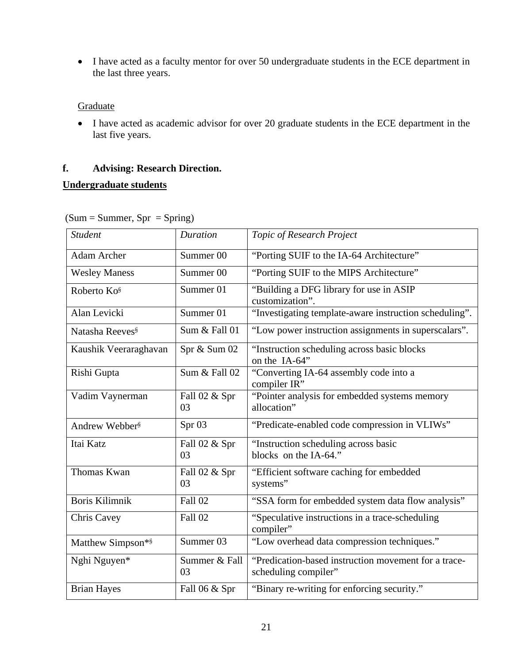• I have acted as a faculty mentor for over 50 undergraduate students in the ECE department in the last three years.

# **Graduate**

• I have acted as academic advisor for over 20 graduate students in the ECE department in the last five years.

# **f. Advising: Research Direction.**

# **Undergraduate students**

| <b>Student</b>              | <b>Duration</b>      | Topic of Research Project                                                    |  |
|-----------------------------|----------------------|------------------------------------------------------------------------------|--|
| <b>Adam Archer</b>          | Summer <sub>00</sub> | "Porting SUIF to the IA-64 Architecture"                                     |  |
| <b>Wesley Maness</b>        | Summer <sub>00</sub> | "Porting SUIF to the MIPS Architecture"                                      |  |
| Roberto Ko <sup>§</sup>     | Summer 01            | "Building a DFG library for use in ASIP<br>customization".                   |  |
| Alan Levicki                | Summer 01            | "Investigating template-aware instruction scheduling".                       |  |
| Natasha Reeves <sup>§</sup> | Sum & Fall 01        | "Low power instruction assignments in superscalars".                         |  |
| Kaushik Veeraraghavan       | Spr & Sum 02         | "Instruction scheduling across basic blocks<br>on the IA-64"                 |  |
| Rishi Gupta                 | Sum & Fall 02        | "Converting IA-64 assembly code into a<br>compiler IR"                       |  |
| Vadim Vaynerman             | Fall 02 & Spr<br>03  | "Pointer analysis for embedded systems memory<br>allocation"                 |  |
| Andrew Webber <sup>§</sup>  | Spr 03               | "Predicate-enabled code compression in VLIWs"                                |  |
| Itai Katz                   | Fall 02 & Spr<br>03  | "Instruction scheduling across basic<br>blocks on the IA-64."                |  |
| Thomas Kwan                 | Fall 02 & Spr<br>03  | "Efficient software caching for embedded<br>systems"                         |  |
| <b>Boris Kilimnik</b>       | Fall 02              | "SSA form for embedded system data flow analysis"                            |  |
| <b>Chris Cavey</b>          | Fall 02              | "Speculative instructions in a trace-scheduling<br>compiler"                 |  |
| Matthew Simpson*§           | Summer 03            | "Low overhead data compression techniques."                                  |  |
| Nghi Nguyen*                | Summer & Fall<br>03  | "Predication-based instruction movement for a trace-<br>scheduling compiler" |  |
| <b>Brian Hayes</b>          | Fall 06 & Spr        | "Binary re-writing for enforcing security."                                  |  |

 $(Sum = Summer, Spr = Spring)$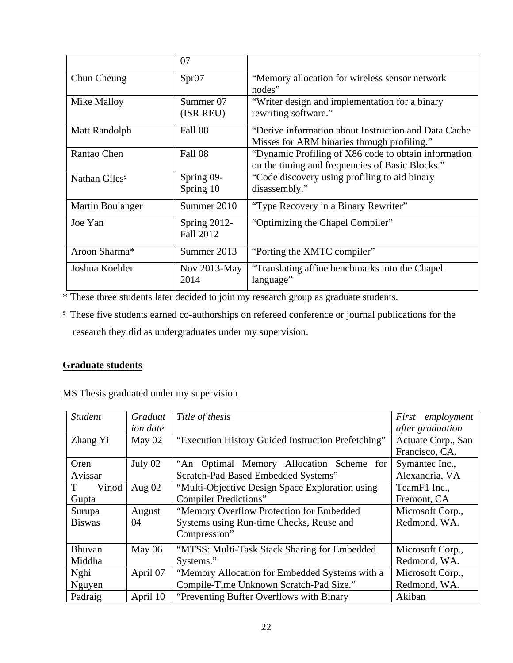|                           | 07                        |                                                                                                          |
|---------------------------|---------------------------|----------------------------------------------------------------------------------------------------------|
| Chun Cheung               | Spr07                     | "Memory allocation for wireless sensor network<br>nodes"                                                 |
| Mike Malloy               | Summer 07<br>(ISR REU)    | "Writer design and implementation for a binary<br>rewriting software."                                   |
| Matt Randolph             | Fall 08                   | "Derive information about Instruction and Data Cache"<br>Misses for ARM binaries through profiling."     |
| Rantao Chen               | Fall 08                   | "Dynamic Profiling of X86 code to obtain information"<br>on the timing and frequencies of Basic Blocks." |
| Nathan Giles <sup>§</sup> | Spring 09-<br>Spring 10   | "Code discovery using profiling to aid binary<br>disassembly."                                           |
| Martin Boulanger          | Summer 2010               | "Type Recovery in a Binary Rewriter"                                                                     |
| Joe Yan                   | Spring 2012-<br>Fall 2012 | "Optimizing the Chapel Compiler"                                                                         |
| Aroon Sharma*             | Summer 2013               | "Porting the XMTC compiler"                                                                              |
| Joshua Koehler            | Nov 2013-May<br>2014      | "Translating affine benchmarks into the Chapel"<br>language"                                             |

\* These three students later decided to join my research group as graduate students.

§ These five students earned co-authorships on refereed conference or journal publications for the research they did as undergraduates under my supervision.

# **Graduate students**

|  | MS Thesis graduated under my supervision |  |  |
|--|------------------------------------------|--|--|
|  |                                          |  |  |

| <b>Student</b>                                                   | Title of thesis<br>Graduat |                                                    | First employment   |  |
|------------------------------------------------------------------|----------------------------|----------------------------------------------------|--------------------|--|
|                                                                  | <i>ion date</i>            |                                                    | after graduation   |  |
| May 02<br>Zhang Yi                                               |                            | "Execution History Guided Instruction Prefetching" | Actuate Corp., San |  |
|                                                                  |                            |                                                    | Francisco, CA.     |  |
| Oren                                                             | July 02                    | "An Optimal Memory Allocation Scheme for           | Symantec Inc.,     |  |
| Avissar                                                          |                            | Scratch-Pad Based Embedded Systems"                | Alexandria, VA     |  |
| T<br>Vinod                                                       | Aug $02$                   | "Multi-Objective Design Space Exploration using    | TeamF1 Inc.,       |  |
| Gupta                                                            |                            | Compiler Predictions"                              | Fremont, CA        |  |
| Surupa                                                           | August                     | "Memory Overflow Protection for Embedded           | Microsoft Corp.,   |  |
| <b>Biswas</b>                                                    | 04                         | Systems using Run-time Checks, Reuse and           | Redmond, WA.       |  |
|                                                                  |                            | Compression"                                       |                    |  |
| May 06<br>Bhuvan                                                 |                            | "MTSS: Multi-Task Stack Sharing for Embedded       | Microsoft Corp.,   |  |
| Middha                                                           |                            | Systems."                                          | Redmond, WA.       |  |
| April 07<br>Nghi                                                 |                            | "Memory Allocation for Embedded Systems with a     | Microsoft Corp.,   |  |
| Nguyen                                                           |                            | Compile-Time Unknown Scratch-Pad Size."            | Redmond, WA.       |  |
| Padraig<br>April 10<br>"Preventing Buffer Overflows with Binary" |                            |                                                    | Akiban             |  |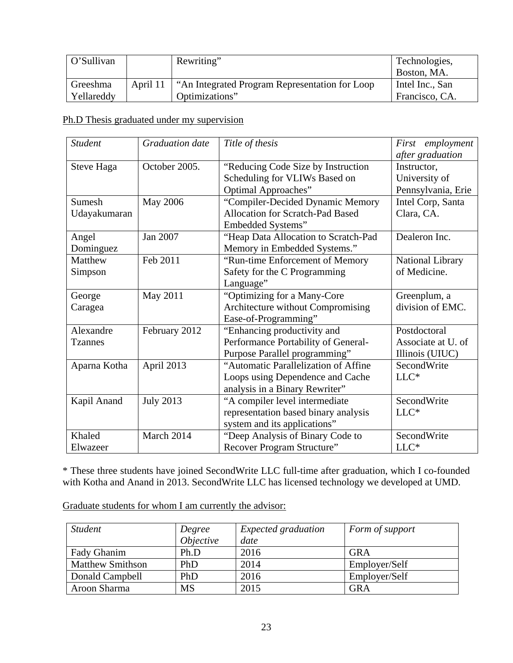| O'Sullivan |          | Rewriting"                                      | Technologies,   |
|------------|----------|-------------------------------------------------|-----------------|
|            |          |                                                 | Boston, MA.     |
| Greeshma   | April 11 | "An Integrated Program Representation for Loop" | Intel Inc., San |
| Yellareddy |          | Optimizations"                                  | Francisco, CA.  |

# Ph.D Thesis graduated under my supervision

| <b>Student</b> | <b>Graduation date</b> | Title of thesis                         | First employment   |
|----------------|------------------------|-----------------------------------------|--------------------|
|                |                        |                                         | after graduation   |
| Steve Haga     | October 2005.          | "Reducing Code Size by Instruction      | Instructor,        |
|                |                        | Scheduling for VLIWs Based on           | University of      |
|                |                        | Optimal Approaches"                     | Pennsylvania, Erie |
| Sumesh         | <b>May 2006</b>        | "Compiler-Decided Dynamic Memory        | Intel Corp, Santa  |
| Udayakumaran   |                        | <b>Allocation for Scratch-Pad Based</b> | Clara, CA.         |
|                |                        | Embedded Systems"                       |                    |
| Angel          | Jan 2007               | "Heap Data Allocation to Scratch-Pad    | Dealeron Inc.      |
| Dominguez      |                        | Memory in Embedded Systems."            |                    |
| Matthew        | Feb 2011               | "Run-time Enforcement of Memory         | National Library   |
| Simpson        |                        | Safety for the C Programming            | of Medicine.       |
|                |                        | Language"                               |                    |
| George         | May 2011               | "Optimizing for a Many-Core"            | Greenplum, a       |
| Caragea        |                        | Architecture without Compromising       | division of EMC.   |
|                |                        | Ease-of-Programming"                    |                    |
| Alexandre      | February 2012          | "Enhancing productivity and             | Postdoctoral       |
| <b>Tzannes</b> |                        | Performance Portability of General-     | Associate at U. of |
|                |                        | Purpose Parallel programming"           | Illinois (UIUC)    |
| Aparna Kotha   | April 2013             | "Automatic Parallelization of Affine    | SecondWrite        |
|                |                        | Loops using Dependence and Cache        | $LLC*$             |
|                |                        | analysis in a Binary Rewriter"          |                    |
| Kapil Anand    | <b>July 2013</b>       | "A compiler level intermediate          | SecondWrite        |
|                |                        | representation based binary analysis    | $LLC\ast$          |
|                |                        | system and its applications"            |                    |
| Khaled         | March 2014             | "Deep Analysis of Binary Code to        | SecondWrite        |
| Elwazeer       |                        | Recover Program Structure"              | $LLC*$             |

\* These three students have joined SecondWrite LLC full-time after graduation, which I co-founded with Kotha and Anand in 2013. SecondWrite LLC has licensed technology we developed at UMD.

Graduate students for whom I am currently the advisor:

| <b>Student</b>          | Degree    | <i>Expected graduation</i> | Form of support |
|-------------------------|-----------|----------------------------|-----------------|
|                         | Objective | date                       |                 |
| Fady Ghanim             | Ph.D      | 2016                       | <b>GRA</b>      |
| <b>Matthew Smithson</b> | PhD       | 2014                       | Employer/Self   |
| Donald Campbell         | PhD       | 2016                       | Employer/Self   |
| Aroon Sharma            | <b>MS</b> | 2015                       | <b>GRA</b>      |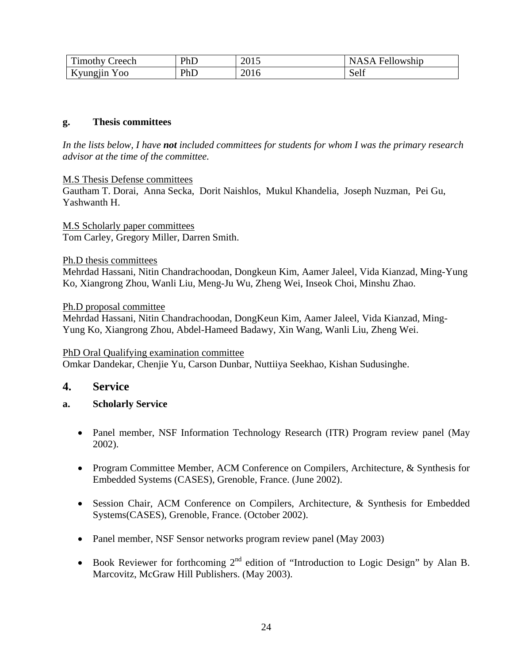| m<br>`reech<br>l imothy ′        | PhD | 2015 | Fellowship<br>NASA |
|----------------------------------|-----|------|--------------------|
| Kyungjin<br>Y 00<br>$\mathbf{v}$ | PhD | 2016 | Self               |

#### **g. Thesis committees**

*In the lists below, I have not included committees for students for whom I was the primary research advisor at the time of the committee.*

#### M.S Thesis Defense committees

Gautham T. Dorai, Anna Secka, Dorit Naishlos, Mukul Khandelia, Joseph Nuzman, Pei Gu, Yashwanth H.

M.S Scholarly paper committees Tom Carley, Gregory Miller, Darren Smith.

#### Ph.D thesis committees

Mehrdad Hassani, Nitin Chandrachoodan, Dongkeun Kim, Aamer Jaleel, Vida Kianzad, Ming-Yung Ko, Xiangrong Zhou, Wanli Liu, Meng-Ju Wu, Zheng Wei, Inseok Choi, Minshu Zhao.

#### Ph.D proposal committee

Mehrdad Hassani, Nitin Chandrachoodan, DongKeun Kim, Aamer Jaleel, Vida Kianzad, Ming-Yung Ko, Xiangrong Zhou, Abdel-Hameed Badawy, Xin Wang, Wanli Liu, Zheng Wei.

#### PhD Oral Qualifying examination committee

Omkar Dandekar, Chenjie Yu, Carson Dunbar, Nuttiiya Seekhao, Kishan Sudusinghe.

# **4. Service**

#### **a. Scholarly Service**

- Panel member, NSF Information Technology Research (ITR) Program review panel (May 2002).
- Program Committee Member, ACM Conference on Compilers, Architecture, & Synthesis for Embedded Systems (CASES), Grenoble, France. (June 2002).
- Session Chair, ACM Conference on Compilers, Architecture, & Synthesis for Embedded Systems(CASES), Grenoble, France. (October 2002).
- Panel member, NSF Sensor networks program review panel (May 2003)
- Book Reviewer for forthcoming 2<sup>nd</sup> edition of "Introduction to Logic Design" by Alan B. Marcovitz, McGraw Hill Publishers. (May 2003).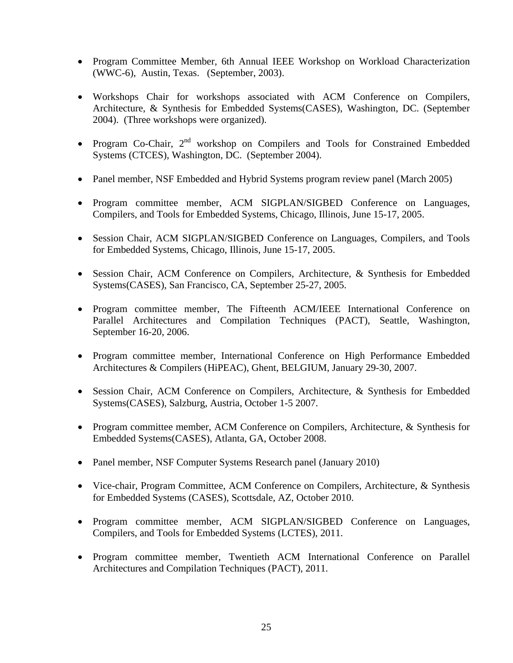- Program Committee Member, 6th Annual IEEE Workshop on Workload Characterization (WWC-6), Austin, Texas. (September, 2003).
- Workshops Chair for workshops associated with ACM Conference on Compilers, Architecture, & Synthesis for Embedded Systems(CASES), Washington, DC. (September 2004). (Three workshops were organized).
- Program Co-Chair,  $2<sup>nd</sup>$  workshop on Compilers and Tools for Constrained Embedded Systems (CTCES), Washington, DC. (September 2004).
- Panel member, NSF Embedded and Hybrid Systems program review panel (March 2005)
- Program committee member, ACM SIGPLAN/SIGBED Conference on Languages, Compilers, and Tools for Embedded Systems, Chicago, Illinois, June 15-17, 2005.
- Session Chair, ACM SIGPLAN/SIGBED Conference on Languages, Compilers, and Tools for Embedded Systems, Chicago, Illinois, June 15-17, 2005.
- Session Chair, ACM Conference on Compilers, Architecture, & Synthesis for Embedded Systems(CASES), San Francisco, CA, September 25-27, 2005.
- Program committee member, The Fifteenth ACM/IEEE International Conference on Parallel Architectures and Compilation Techniques (PACT), Seattle, Washington, September 16-20, 2006.
- Program committee member, International Conference on High Performance Embedded Architectures & Compilers (HiPEAC), Ghent, BELGIUM, January 29-30, 2007.
- Session Chair, ACM Conference on Compilers, Architecture, & Synthesis for Embedded Systems(CASES), Salzburg, Austria, October 1-5 2007.
- Program committee member, ACM Conference on Compilers, Architecture, & Synthesis for Embedded Systems(CASES), Atlanta, GA, October 2008.
- Panel member, NSF Computer Systems Research panel (January 2010)
- Vice-chair, Program Committee, ACM Conference on Compilers, Architecture, & Synthesis for Embedded Systems (CASES), Scottsdale, AZ, October 2010.
- Program committee member, ACM SIGPLAN/SIGBED Conference on Languages, Compilers, and Tools for Embedded Systems (LCTES), 2011.
- Program committee member, Twentieth ACM International Conference on Parallel Architectures and Compilation Techniques (PACT), 2011.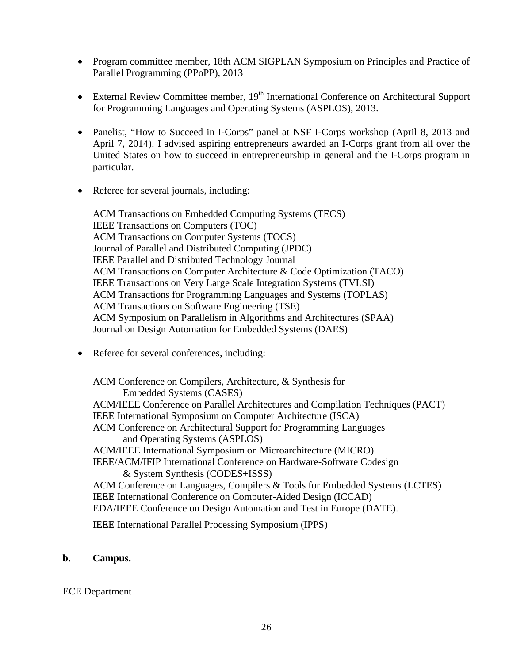- Program committee member, 18th ACM SIGPLAN Symposium on Principles and Practice of Parallel Programming (PPoPP), 2013
- External Review Committee member,  $19<sup>th</sup>$  International Conference on Architectural Support for Programming Languages and Operating Systems (ASPLOS), 2013.
- Panelist, "How to Succeed in I-Corps" panel at NSF I-Corps workshop (April 8, 2013 and April 7, 2014). I advised aspiring entrepreneurs awarded an I-Corps grant from all over the United States on how to succeed in entrepreneurship in general and the I-Corps program in particular.
- Referee for several journals, including:

ACM Transactions on Embedded Computing Systems (TECS) IEEE Transactions on Computers (TOC) ACM Transactions on Computer Systems (TOCS) Journal of Parallel and Distributed Computing (JPDC) IEEE Parallel and Distributed Technology Journal ACM Transactions on Computer Architecture & Code Optimization (TACO) IEEE Transactions on Very Large Scale Integration Systems (TVLSI) ACM Transactions for Programming Languages and Systems (TOPLAS) ACM Transactions on Software Engineering (TSE) ACM Symposium on Parallelism in Algorithms and Architectures (SPAA) Journal on Design Automation for Embedded Systems (DAES)

• Referee for several conferences, including:

ACM Conference on Compilers, Architecture, & Synthesis for Embedded Systems (CASES) ACM/IEEE Conference on Parallel Architectures and Compilation Techniques (PACT) IEEE International Symposium on Computer Architecture (ISCA) ACM Conference on Architectural Support for Programming Languages and Operating Systems (ASPLOS) ACM/IEEE International Symposium on Microarchitecture (MICRO) IEEE/ACM/IFIP International Conference on Hardware-Software Codesign & System Synthesis (CODES+ISSS) ACM Conference on Languages, Compilers & Tools for Embedded Systems (LCTES) IEEE International Conference on Computer-Aided Design (ICCAD) EDA/IEEE Conference on Design Automation and Test in Europe (DATE).

IEEE International Parallel Processing Symposium (IPPS)

#### **b. Campus.**

#### ECE Department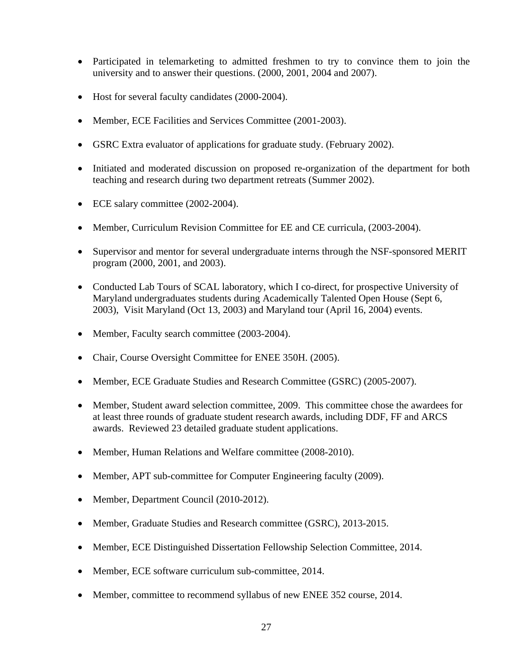- Participated in telemarketing to admitted freshmen to try to convince them to join the university and to answer their questions. (2000, 2001, 2004 and 2007).
- Host for several faculty candidates (2000-2004).
- Member, ECE Facilities and Services Committee (2001-2003).
- GSRC Extra evaluator of applications for graduate study. (February 2002).
- Initiated and moderated discussion on proposed re-organization of the department for both teaching and research during two department retreats (Summer 2002).
- ECE salary committee (2002-2004).
- Member, Curriculum Revision Committee for EE and CE curricula, (2003-2004).
- Supervisor and mentor for several undergraduate interns through the NSF-sponsored MERIT program (2000, 2001, and 2003).
- Conducted Lab Tours of SCAL laboratory, which I co-direct, for prospective University of Maryland undergraduates students during Academically Talented Open House (Sept 6, 2003), Visit Maryland (Oct 13, 2003) and Maryland tour (April 16, 2004) events.
- Member, Faculty search committee (2003-2004).
- Chair, Course Oversight Committee for ENEE 350H. (2005).
- Member, ECE Graduate Studies and Research Committee (GSRC) (2005-2007).
- Member, Student award selection committee, 2009. This committee chose the awardees for at least three rounds of graduate student research awards, including DDF, FF and ARCS awards. Reviewed 23 detailed graduate student applications.
- Member, Human Relations and Welfare committee (2008-2010).
- Member, APT sub-committee for Computer Engineering faculty (2009).
- Member, Department Council (2010-2012).
- Member, Graduate Studies and Research committee (GSRC), 2013-2015.
- Member, ECE Distinguished Dissertation Fellowship Selection Committee, 2014.
- Member, ECE software curriculum sub-committee, 2014.
- Member, committee to recommend syllabus of new ENEE 352 course, 2014.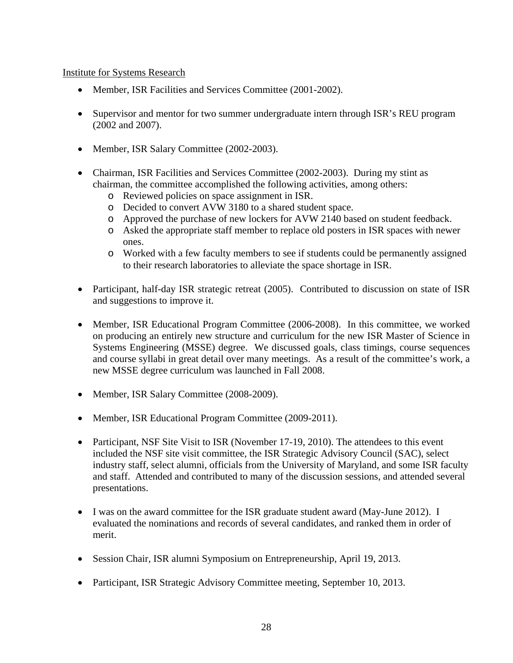#### Institute for Systems Research

- Member, ISR Facilities and Services Committee (2001-2002).
- Supervisor and mentor for two summer undergraduate intern through ISR's REU program (2002 and 2007).
- Member, ISR Salary Committee (2002-2003).
- Chairman, ISR Facilities and Services Committee (2002-2003). During my stint as chairman, the committee accomplished the following activities, among others:
	- o Reviewed policies on space assignment in ISR.
	- o Decided to convert AVW 3180 to a shared student space.
	- o Approved the purchase of new lockers for AVW 2140 based on student feedback.
	- o Asked the appropriate staff member to replace old posters in ISR spaces with newer ones.
	- o Worked with a few faculty members to see if students could be permanently assigned to their research laboratories to alleviate the space shortage in ISR.
- Participant, half-day ISR strategic retreat (2005). Contributed to discussion on state of ISR and suggestions to improve it.
- Member, ISR Educational Program Committee (2006-2008). In this committee, we worked on producing an entirely new structure and curriculum for the new ISR Master of Science in Systems Engineering (MSSE) degree. We discussed goals, class timings, course sequences and course syllabi in great detail over many meetings. As a result of the committee's work, a new MSSE degree curriculum was launched in Fall 2008.
- Member, ISR Salary Committee (2008-2009).
- Member, ISR Educational Program Committee (2009-2011).
- Participant, NSF Site Visit to ISR (November 17-19, 2010). The attendees to this event included the NSF site visit committee, the ISR Strategic Advisory Council (SAC), select industry staff, select alumni, officials from the University of Maryland, and some ISR faculty and staff. Attended and contributed to many of the discussion sessions, and attended several presentations.
- I was on the award committee for the ISR graduate student award (May-June 2012). I evaluated the nominations and records of several candidates, and ranked them in order of merit.
- Session Chair, ISR alumni Symposium on Entrepreneurship, April 19, 2013.
- Participant, ISR Strategic Advisory Committee meeting, September 10, 2013.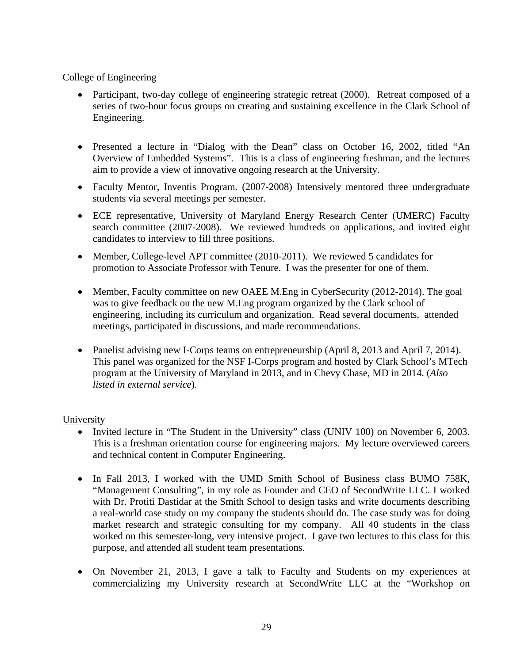#### College of Engineering

- Participant, two-day college of engineering strategic retreat (2000). Retreat composed of a series of two-hour focus groups on creating and sustaining excellence in the Clark School of Engineering.
- Presented a lecture in "Dialog with the Dean" class on October 16, 2002, titled "An Overview of Embedded Systems". This is a class of engineering freshman, and the lectures aim to provide a view of innovative ongoing research at the University.
- Faculty Mentor, Inventis Program. (2007-2008) Intensively mentored three undergraduate students via several meetings per semester.
- ECE representative, University of Maryland Energy Research Center (UMERC) Faculty search committee (2007-2008). We reviewed hundreds on applications, and invited eight candidates to interview to fill three positions.
- Member, College-level APT committee (2010-2011). We reviewed 5 candidates for promotion to Associate Professor with Tenure. I was the presenter for one of them.
- Member, Faculty committee on new OAEE M.Eng in CyberSecurity (2012-2014). The goal was to give feedback on the new M.Eng program organized by the Clark school of engineering, including its curriculum and organization. Read several documents, attended meetings, participated in discussions, and made recommendations.
- Panelist advising new I-Corps teams on entrepreneurship (April 8, 2013 and April 7, 2014). This panel was organized for the NSF I-Corps program and hosted by Clark School's MTech program at the University of Maryland in 2013, and in Chevy Chase, MD in 2014. (*Also listed in external service*).

# University

- Invited lecture in "The Student in the University" class (UNIV 100) on November 6, 2003. This is a freshman orientation course for engineering majors. My lecture overviewed careers and technical content in Computer Engineering.
- In Fall 2013, I worked with the UMD Smith School of Business class BUMO 758K, "Management Consulting", in my role as Founder and CEO of SecondWrite LLC. I worked with Dr. Protiti Dastidar at the Smith School to design tasks and write documents describing a real-world case study on my company the students should do. The case study was for doing market research and strategic consulting for my company. All 40 students in the class worked on this semester-long, very intensive project. I gave two lectures to this class for this purpose, and attended all student team presentations.
- On November 21, 2013, I gave a talk to Faculty and Students on my experiences at commercializing my University research at SecondWrite LLC at the "Workshop on